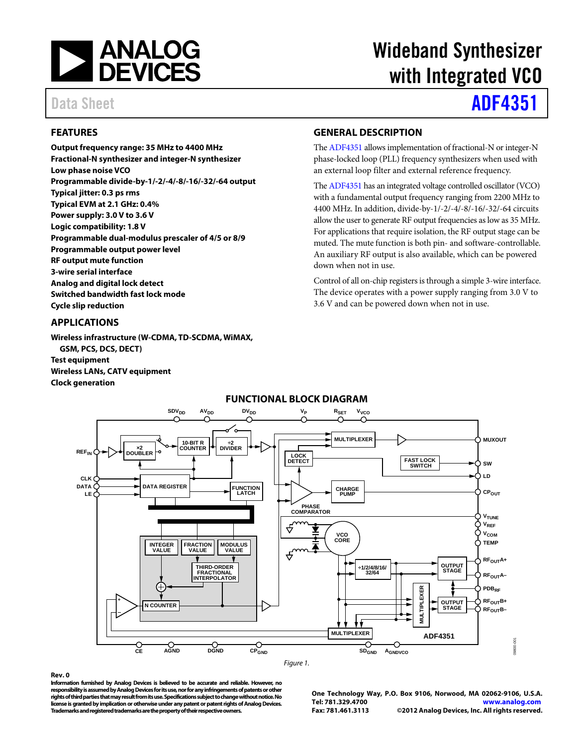

# Wideband Synthesizer with Integrated VCO

## Data Sheet **[ADF4351](http://www.analog.com/ADF4351)**

### <span id="page-0-0"></span>**FEATURES**

**Output frequency range: 35 MHz to 4400 MHz Fractional-N synthesizer and integer-N synthesizer Low phase noise VCO Programmable divide-by-1/-2/-4/-8/-16/-32/-64 output Typical jitter: 0.3 ps rms Typical EVM at 2.1 GHz: 0.4% Power supply: 3.0 V to 3.6 V Logic compatibility: 1.8 V Programmable dual-modulus prescaler of 4/5 or 8/9 Programmable output power level RF output mute function 3-wire serial interface Analog and digital lock detect Switched bandwidth fast lock mode Cycle slip reduction** 

#### <span id="page-0-1"></span>**APPLICATIONS**

**Wireless infrastructure (W-CDMA, TD-SCDMA, WiMAX, GSM, PCS, DCS, DECT) Test equipment Wireless LANs, CATV equipment Clock generation** 

#### <span id="page-0-2"></span>**GENERAL DESCRIPTION**

Th[e ADF4351 a](http://www.analog.com/ADF4351)llows implementation of fractional-N or integer-N phase-locked loop (PLL) frequency synthesizers when used with an external loop filter and external reference frequency.

Th[e ADF4351 h](http://www.analog.com/ADF4351)as an integrated voltage controlled oscillator (VCO) with a fundamental output frequency ranging from 2200 MHz to 4400 MHz. In addition, divide-by-1/-2/-4/-8/-16/-32/-64 circuits allow the user to generate RF output frequencies as low as 35 MHz. For applications that require isolation, the RF output stage can be muted. The mute function is both pin- and software-controllable. An auxiliary RF output is also available, which can be powered down when not in use.

Control of all on-chip registers is through a simple 3-wire interface. The device operates with a power supply ranging from 3.0 V to 3.6 V and can be powered down when not in use.

<span id="page-0-3"></span>

### **FUNCTIONAL BLOCK DIAGRAM**

#### **Rev. 0**

**Information furnished by [Analog Devices is](http://www.analog.com) believed to be accurate and reliable. However, no responsibility is assumed by Analog Devices for its use, nor for any infringements of patents or other rights of third parties that may result from its use. Specifications subject to change without notice. No license is granted by implication or otherwise under any patent or patent rights o[f Analog Devices.](http://www.analog.com)  Trademarks and registered trademarks are the property of their respective owners.** 

**One Technology Way, P.O. Box 9106, Norwood, MA 02062-9106, U.S.A. Tel: 781.329.4700 [www.analog.com](http://www.analog.com/) Fax: 781.461.3113 ©2012 [Analog Devices, Inc. A](http://www.analog.com)ll rights reserved.** 

09800-001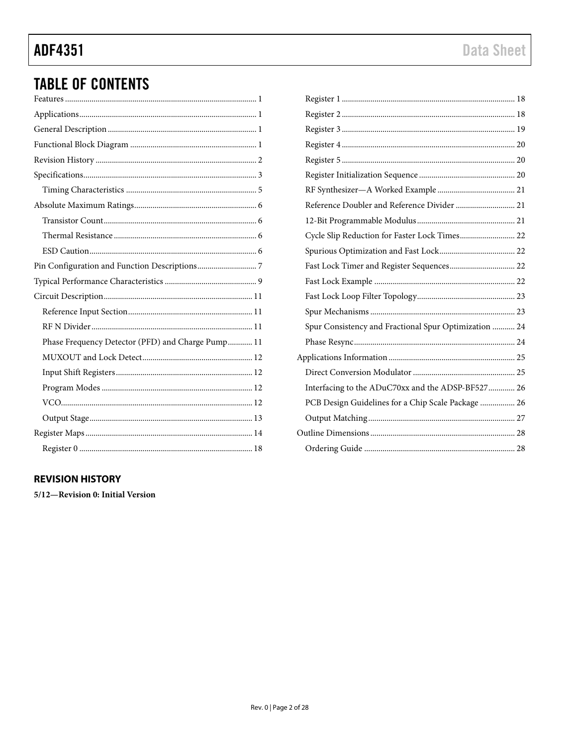## **ADF4351**

## **TABLE OF CONTENTS**

| Phase Frequency Detector (PFD) and Charge Pump 11 |
|---------------------------------------------------|
|                                                   |
|                                                   |
|                                                   |
|                                                   |
|                                                   |
|                                                   |

### <span id="page-1-0"></span>**REVISION HISTORY**

5/12-Revision 0: Initial Version

| Reference Doubler and Reference Divider  21           |  |
|-------------------------------------------------------|--|
|                                                       |  |
| Cycle Slip Reduction for Faster Lock Times 22         |  |
|                                                       |  |
| Fast Lock Timer and Register Sequences 22             |  |
|                                                       |  |
|                                                       |  |
|                                                       |  |
| Spur Consistency and Fractional Spur Optimization  24 |  |
|                                                       |  |
|                                                       |  |
|                                                       |  |
| Interfacing to the ADuC70xx and the ADSP-BF527 26     |  |
| PCB Design Guidelines for a Chip Scale Package  26    |  |
|                                                       |  |
|                                                       |  |
|                                                       |  |
|                                                       |  |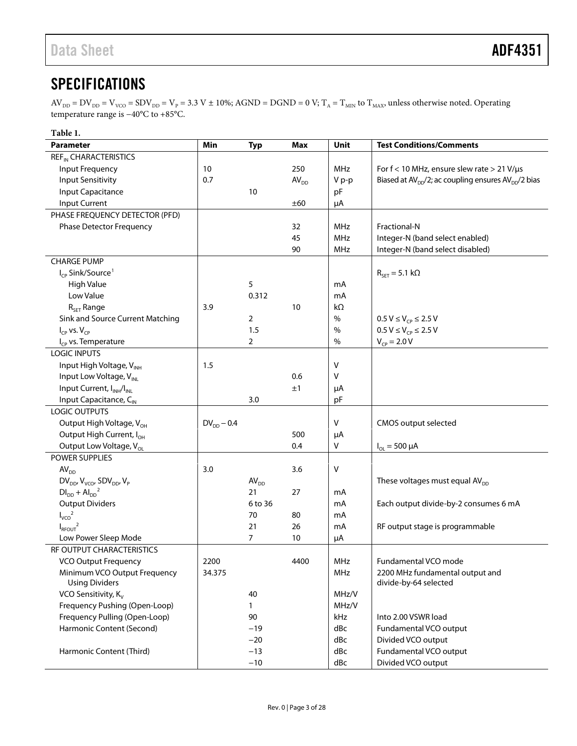## <span id="page-2-0"></span>**SPECIFICATIONS**

 $AV_{DD} = DV_{DD} = V_{vCO} = SDV_{DD} = V_P = 3.3 V \pm 10\%$ ; AGND = DGND = 0 V; T<sub>A</sub> = T<sub>MIN</sub> to T<sub>MAX</sub>, unless otherwise noted. Operating temperature range is −40°C to +85°C.

| Table 1.                                              |                 |                  |                  |            |                                                        |  |  |  |  |  |  |
|-------------------------------------------------------|-----------------|------------------|------------------|------------|--------------------------------------------------------|--|--|--|--|--|--|
| <b>Parameter</b>                                      | Min             | <b>Typ</b>       | <b>Max</b>       | Unit       | <b>Test Conditions/Comments</b>                        |  |  |  |  |  |  |
| <b>REF<sub>IN</sub> CHARACTERISTICS</b>               |                 |                  |                  |            |                                                        |  |  |  |  |  |  |
| Input Frequency                                       | 10              |                  | 250              | <b>MHz</b> | For $f < 10$ MHz, ensure slew rate $> 21$ V/ $\mu s$   |  |  |  |  |  |  |
| <b>Input Sensitivity</b>                              | 0.7             |                  | AV <sub>DD</sub> | V p-p      | Biased at $AVDD/2$ ; ac coupling ensures $AVDD/2$ bias |  |  |  |  |  |  |
| <b>Input Capacitance</b>                              |                 | 10               |                  | pF         |                                                        |  |  |  |  |  |  |
| Input Current                                         |                 |                  | ±60              | μA         |                                                        |  |  |  |  |  |  |
| PHASE FREQUENCY DETECTOR (PFD)                        |                 |                  |                  |            |                                                        |  |  |  |  |  |  |
| <b>Phase Detector Frequency</b>                       |                 |                  | 32               | <b>MHz</b> | Fractional-N                                           |  |  |  |  |  |  |
|                                                       |                 |                  | 45               | <b>MHz</b> | Integer-N (band select enabled)                        |  |  |  |  |  |  |
|                                                       |                 |                  | 90               | <b>MHz</b> | Integer-N (band select disabled)                       |  |  |  |  |  |  |
| <b>CHARGE PUMP</b>                                    |                 |                  |                  |            |                                                        |  |  |  |  |  |  |
| I <sub>CP</sub> Sink/Source <sup>1</sup>              |                 |                  |                  |            | $R_{\text{SET}} = 5.1 \text{ k}\Omega$                 |  |  |  |  |  |  |
| <b>High Value</b>                                     |                 | 5                |                  | mA         |                                                        |  |  |  |  |  |  |
| Low Value                                             |                 | 0.312            |                  | mA         |                                                        |  |  |  |  |  |  |
| $R_{\text{SET}}$ Range                                | 3.9             |                  | 10               | $k\Omega$  |                                                        |  |  |  |  |  |  |
| Sink and Source Current Matching                      |                 | 2                |                  | $\%$       | $0.5 V \le V_{CP} \le 2.5 V$                           |  |  |  |  |  |  |
| $I_{CP}$ vs. $V_{CP}$                                 |                 | 1.5              |                  | $\%$       | $0.5 V \le V_{CP} \le 2.5 V$                           |  |  |  |  |  |  |
| $I_{CP}$ vs. Temperature                              |                 | $\overline{2}$   |                  | $\%$       | $V_{CP} = 2.0 V$                                       |  |  |  |  |  |  |
| <b>LOGIC INPUTS</b>                                   |                 |                  |                  |            |                                                        |  |  |  |  |  |  |
| Input High Voltage, V <sub>INH</sub>                  | 1.5             |                  |                  | v          |                                                        |  |  |  |  |  |  |
| Input Low Voltage, V <sub>INL</sub>                   |                 |                  | 0.6              | v          |                                                        |  |  |  |  |  |  |
| Input Current, I <sub>INH</sub> /I <sub>INL</sub>     |                 |                  | ±1               | μA         |                                                        |  |  |  |  |  |  |
| Input Capacitance, C <sub>IN</sub>                    |                 | 3.0              |                  | pF         |                                                        |  |  |  |  |  |  |
| LOGIC OUTPUTS                                         |                 |                  |                  |            |                                                        |  |  |  |  |  |  |
| Output High Voltage, V <sub>OH</sub>                  | $DV_{DD}$ – 0.4 |                  |                  | v          | CMOS output selected                                   |  |  |  |  |  |  |
| Output High Current, I <sub>OH</sub>                  |                 |                  | 500              | μA         |                                                        |  |  |  |  |  |  |
| Output Low Voltage, V <sub>ol</sub>                   |                 |                  | 0.4              | V          | $I_{OL} = 500 \mu A$                                   |  |  |  |  |  |  |
| POWER SUPPLIES                                        |                 |                  |                  |            |                                                        |  |  |  |  |  |  |
| AV <sub>DD</sub>                                      | 3.0             |                  | 3.6              | v          |                                                        |  |  |  |  |  |  |
| $DV_{DD'}V_{VCO'}$ SDV <sub>DD</sub> , V <sub>P</sub> |                 | AV <sub>DD</sub> |                  |            | These voltages must equal AV <sub>DD</sub>             |  |  |  |  |  |  |
| $DIDD + AlDD2$                                        |                 | 21               | 27               | mA         |                                                        |  |  |  |  |  |  |
| <b>Output Dividers</b>                                |                 | 6 to 36          |                  | mA         | Each output divide-by-2 consumes 6 mA                  |  |  |  |  |  |  |
| ${I_{\rm VCO}}^2$                                     |                 | 70               | 80               | mA         |                                                        |  |  |  |  |  |  |
| $I_{\text{RFOUT}}^2$                                  |                 | 21               | 26               | mA         | RF output stage is programmable                        |  |  |  |  |  |  |
| Low Power Sleep Mode                                  |                 | 7                | 10               | μA         |                                                        |  |  |  |  |  |  |
| RF OUTPUT CHARACTERISTICS                             |                 |                  |                  |            |                                                        |  |  |  |  |  |  |
| <b>VCO Output Frequency</b>                           | 2200            |                  | 4400             | <b>MHz</b> | Fundamental VCO mode                                   |  |  |  |  |  |  |
| Minimum VCO Output Frequency                          | 34.375          |                  |                  | MHz        | 2200 MHz fundamental output and                        |  |  |  |  |  |  |
| <b>Using Dividers</b>                                 |                 |                  |                  |            | divide-by-64 selected                                  |  |  |  |  |  |  |
| VCO Sensitivity, K <sub>v</sub>                       |                 | 40               |                  | MHz/V      |                                                        |  |  |  |  |  |  |
| Frequency Pushing (Open-Loop)                         |                 | 1                |                  | MHz/V      |                                                        |  |  |  |  |  |  |
| Frequency Pulling (Open-Loop)                         |                 | 90               |                  | kHz        | Into 2.00 VSWR load                                    |  |  |  |  |  |  |
| Harmonic Content (Second)                             |                 | $-19$            |                  | dBc        | Fundamental VCO output                                 |  |  |  |  |  |  |
|                                                       |                 | $-20$            |                  | dBc        | Divided VCO output                                     |  |  |  |  |  |  |
| Harmonic Content (Third)                              |                 | $-13$            |                  | dBc        | Fundamental VCO output                                 |  |  |  |  |  |  |
|                                                       |                 | $-10$            |                  | dBc        | Divided VCO output                                     |  |  |  |  |  |  |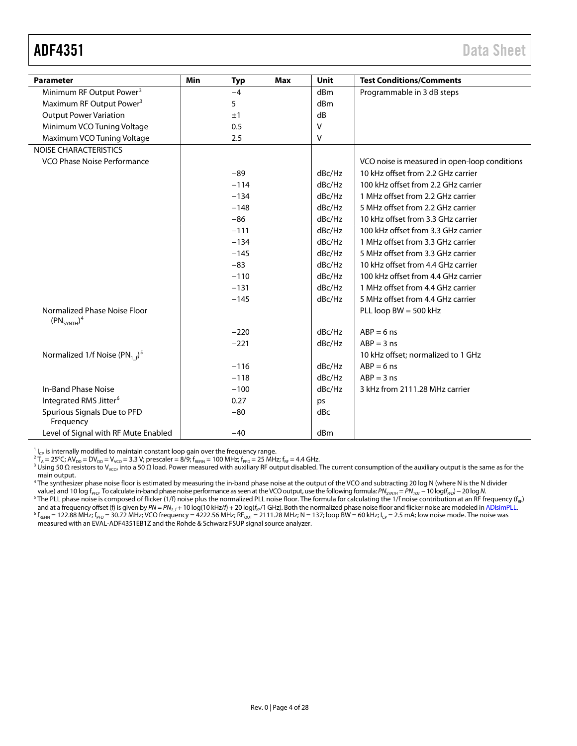<span id="page-3-0"></span>

| <b>Parameter</b>                                      | Min<br><b>Typ</b> | Max | <b>Unit</b> | <b>Test Conditions/Comments</b>               |
|-------------------------------------------------------|-------------------|-----|-------------|-----------------------------------------------|
| Minimum RF Output Power <sup>3</sup>                  | $-4$              |     | dBm         | Programmable in 3 dB steps                    |
| Maximum RF Output Power <sup>3</sup>                  | 5                 |     | dBm         |                                               |
| <b>Output Power Variation</b>                         | ±1                |     | dB          |                                               |
| Minimum VCO Tuning Voltage                            | 0.5               |     | $\vee$      |                                               |
| Maximum VCO Tuning Voltage                            | 2.5               |     | V           |                                               |
| NOISE CHARACTERISTICS                                 |                   |     |             |                                               |
| VCO Phase Noise Performance                           |                   |     |             | VCO noise is measured in open-loop conditions |
|                                                       | $-89$             |     | dBc/Hz      | 10 kHz offset from 2.2 GHz carrier            |
|                                                       | $-114$            |     | dBc/Hz      | 100 kHz offset from 2.2 GHz carrier           |
|                                                       | $-134$            |     | dBc/Hz      | 1 MHz offset from 2.2 GHz carrier             |
|                                                       | $-148$            |     | dBc/Hz      | 5 MHz offset from 2.2 GHz carrier             |
|                                                       | $-86$             |     | dBc/Hz      | 10 kHz offset from 3.3 GHz carrier            |
|                                                       | $-111$            |     | dBc/Hz      | 100 kHz offset from 3.3 GHz carrier           |
|                                                       | $-134$            |     | dBc/Hz      | 1 MHz offset from 3.3 GHz carrier             |
|                                                       | $-145$            |     | dBc/Hz      | 5 MHz offset from 3.3 GHz carrier             |
|                                                       | $-83$             |     | dBc/Hz      | 10 kHz offset from 4.4 GHz carrier            |
|                                                       | $-110$            |     | dBc/Hz      | 100 kHz offset from 4.4 GHz carrier           |
|                                                       | $-131$            |     | dBc/Hz      | 1 MHz offset from 4.4 GHz carrier             |
|                                                       | $-145$            |     | dBc/Hz      | 5 MHz offset from 4.4 GHz carrier             |
| Normalized Phase Noise Floor<br>$(PN_{SYNTH})^4$      |                   |     |             | PLL loop $BW = 500$ kHz                       |
|                                                       | $-220$            |     | dBc/Hz      | $ABP = 6$ ns                                  |
|                                                       | $-221$            |     | dBc/Hz      | $ABP = 3$ ns                                  |
| Normalized 1/f Noise (PN <sub>1f</sub> ) <sup>5</sup> |                   |     |             | 10 kHz offset; normalized to 1 GHz            |
|                                                       | $-116$            |     | dBc/Hz      | $ABP = 6$ ns                                  |
|                                                       | $-118$            |     | dBc/Hz      | $ABP = 3$ ns                                  |
| In-Band Phase Noise                                   | $-100$            |     | dBc/Hz      | 3 kHz from 2111.28 MHz carrier                |
| Integrated RMS Jitter <sup>6</sup>                    | 0.27              |     | ps          |                                               |
| Spurious Signals Due to PFD<br>Frequency              | $-80$             |     | dBc         |                                               |
| Level of Signal with RF Mute Enabled                  | $-40$             |     | dBm         |                                               |

<sup>1</sup>l<sub>cP</sub> is internally modified to maintain constant loop gain over the frequency range.<br><sup>2</sup>T<sub>A</sub> = 25°C; AV<sub>DD</sub> = DV<sub>DD</sub> = V<sub>VCO</sub> = 3.3 V; prescaler = 8/9; f<sub>REFN</sub> = 100 MHz; f<sub>PFD</sub> = 25 MHz; f<sub>RF</sub> = 4.4 GHz.<br><sup>3</sup> Using 5 main output.

<sup>4</sup> The synthesizer phase noise floor is estimated by measuring the in-band phase noise at the output of the VCO and subtracting 20 log N (where N is the N divider<br>value) and 10 log f<sub>PFD</sub>. To calculate in-band phase nois

<sup>5</sup> The PLL phase noise is composed of flicker (1/f) noise plus the normalized PLL noise floor. The formula for calculating the 1/f noise contribution at an RF frequency ( $f_{RF}$ )

and at a frequency offset (f) is given by PN = PN<sub>1.f</sub> + 10 log(10 kHz/f) + 20 log(f<sub>n</sub>/1 GHz). Both the normalized phase noise floor and flicker noise are modeled i[n ADIsimPLL.](http://www.analog.com/ADIsimPLL)<br><sup>6</sup> f<sub>RENN</sub> = 122.88 MHz; f<sub>PFD</sub> = 30.72 MH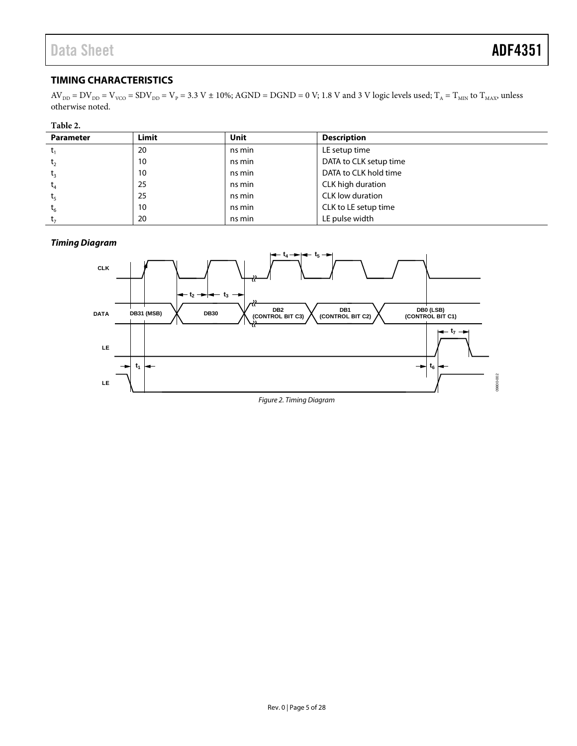### <span id="page-4-0"></span>**TIMING CHARACTERISTICS**

 $AV_{DD} = DV_{DD} = V_{vCO} = SDV_{DD} = V_P = 3.3 V \pm 10\%$ ; AGND = DGND = 0 V; 1.8 V and 3 V logic levels used;  $T_A = T_{MIN}$  to  $T_{MAX}$ , unless otherwise noted.

#### <span id="page-4-2"></span>**Table 2.**

| <b>Parameter</b> | Limit | Unit   | <b>Description</b>     |
|------------------|-------|--------|------------------------|
|                  | 20    | ns min | LE setup time          |
| t <sub>2</sub>   | 10    | ns min | DATA to CLK setup time |
| $t_{3}$          | 10    | ns min | DATA to CLK hold time  |
| $t_4$            | 25    | ns min | CLK high duration      |
| $t_{5}$          | 25    | ns min | CLK low duration       |
| $t_{6}$          | 10    | ns min | CLK to LE setup time   |
| t,               | 20    | ns min | LE pulse width         |

#### *Timing Diagram*

<span id="page-4-1"></span>

*Figure 2. Timing Diagram*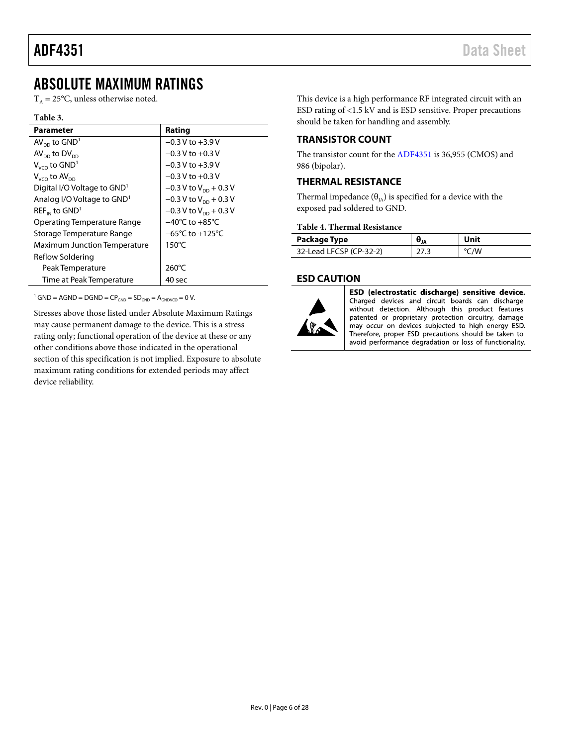## <span id="page-5-0"></span>ABSOLUTE MAXIMUM RATINGS

 $T_A = 25$ °C, unless otherwise noted.

#### **Table 3.**

| <b>Parameter</b>                        | Rating                              |
|-----------------------------------------|-------------------------------------|
| $AV_{DD}$ to $GND1$                     | $-0.3$ V to $+3.9$ V                |
| $AVDD$ to $DVDD$                        | $-0.3$ V to $+0.3$ V                |
| $V_{VCO}$ to $GND1$                     | $-0.3$ V to $+3.9$ V                |
| $V_{VCO}$ to $AV_{DD}$                  | $-0.3$ V to $+0.3$ V                |
| Digital I/O Voltage to GND <sup>1</sup> | $-0.3$ V to V <sub>pp</sub> + 0.3 V |
| Analog I/O Voltage to GND <sup>1</sup>  | $-0.3$ V to V <sub>DD</sub> + 0.3 V |
| $REF_{IN}$ to $GND1$                    | $-0.3$ V to $V_{DD}$ + 0.3 V        |
| Operating Temperature Range             | $-40^{\circ}$ C to $+85^{\circ}$ C  |
| Storage Temperature Range               | $-65^{\circ}$ C to $+125^{\circ}$ C |
| <b>Maximum Junction Temperature</b>     | $150^{\circ}$ C                     |
| Reflow Soldering                        |                                     |
| Peak Temperature                        | $260^{\circ}$ C                     |
| Time at Peak Temperature                | 40 sec                              |

<sup>1</sup> GND = AGND = DGND =  $CP<sub>GND</sub>$  =  $SD<sub>GND</sub>$  =  $A<sub>GNDVCO</sub>$  = 0 V.

Stresses above those listed under Absolute Maximum Ratings may cause permanent damage to the device. This is a stress rating only; functional operation of the device at these or any other conditions above those indicated in the operational section of this specification is not implied. Exposure to absolute maximum rating conditions for extended periods may affect device reliability.

This device is a high performance RF integrated circuit with an ESD rating of <1.5 kV and is ESD sensitive. Proper precautions should be taken for handling and assembly.

### <span id="page-5-1"></span>**TRANSISTOR COUNT**

The transistor count for th[e ADF4351](http://www.analog.com/ADF4351) is 36,955 (CMOS) and 986 (bipolar).

#### <span id="page-5-2"></span>**THERMAL RESISTANCE**

Thermal impedance  $(\theta_{IA})$  is specified for a device with the exposed pad soldered to GND.

#### **Table 4. Thermal Resistance**

| Package Type            |     | Unit |
|-------------------------|-----|------|
| 32-Lead LFCSP (CP-32-2) | ววว | °C/W |

#### <span id="page-5-3"></span>**ESD CAUTION**



ESD (electrostatic discharge) sensitive device. Charged devices and circuit boards can discharge without detection. Although this product features patented or proprietary protection circuitry, damage may occur on devices subjected to high energy ESD. Therefore, proper ESD precautions should be taken to avoid performance degradation or loss of functionality.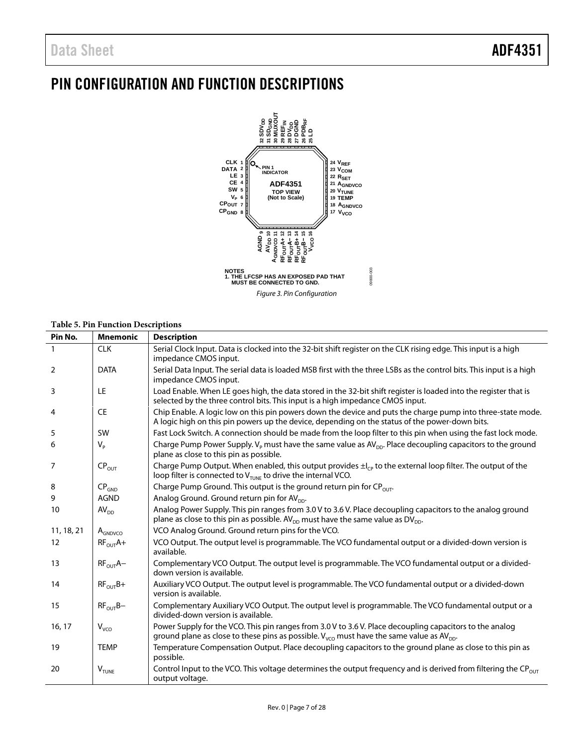## <span id="page-6-0"></span>PIN CONFIGURATION AND FUNCTION DESCRIPTIONS



#### **Table 5. Pin Function Descriptions**

|                   | radic 5.1 m Function Descriptions |                                                                                                                                                                                                                       |
|-------------------|-----------------------------------|-----------------------------------------------------------------------------------------------------------------------------------------------------------------------------------------------------------------------|
| Pin No.           | <b>Mnemonic</b>                   | <b>Description</b>                                                                                                                                                                                                    |
| $\mathbf{1}$      | <b>CLK</b>                        | Serial Clock Input. Data is clocked into the 32-bit shift register on the CLK rising edge. This input is a high<br>impedance CMOS input.                                                                              |
| 2                 | <b>DATA</b>                       | Serial Data Input. The serial data is loaded MSB first with the three LSBs as the control bits. This input is a high<br>impedance CMOS input.                                                                         |
| 3                 | LE                                | Load Enable. When LE goes high, the data stored in the 32-bit shift register is loaded into the register that is<br>selected by the three control bits. This input is a high impedance CMOS input.                    |
| 4                 | <b>CE</b>                         | Chip Enable. A logic low on this pin powers down the device and puts the charge pump into three-state mode.<br>A logic high on this pin powers up the device, depending on the status of the power-down bits.         |
| 5                 | <b>SW</b>                         | Fast Lock Switch. A connection should be made from the loop filter to this pin when using the fast lock mode.                                                                                                         |
| 6                 | $V_{P}$                           | Charge Pump Power Supply. $V_P$ must have the same value as $AV_{DD}$ . Place decoupling capacitors to the ground<br>plane as close to this pin as possible.                                                          |
| 7                 | CP <sub>OUT</sub>                 | Charge Pump Output. When enabled, this output provides $\pm l_{\text{CP}}$ to the external loop filter. The output of the<br>loop filter is connected to $V_{\text{TUNE}}$ to drive the internal VCO.                 |
| 8                 | CP <sub>GND</sub>                 | Charge Pump Ground. This output is the ground return pin for $CP_{OUT}$ .                                                                                                                                             |
| 9                 | <b>AGND</b>                       | Analog Ground. Ground return pin for AV <sub>pp</sub> .                                                                                                                                                               |
| 10                | AV <sub>DD</sub>                  | Analog Power Supply. This pin ranges from 3.0 V to 3.6 V. Place decoupling capacitors to the analog ground<br>plane as close to this pin as possible. AV <sub>pp</sub> must have the same value as DV <sub>pp</sub> . |
| 11, 18, 21        | $A_{GNDVCO}$                      | VCO Analog Ground. Ground return pins for the VCO.                                                                                                                                                                    |
| $12 \overline{ }$ | $RF_{OUT}A+$                      | VCO Output. The output level is programmable. The VCO fundamental output or a divided-down version is<br>available.                                                                                                   |
| 13                | $RF_{OUT}A-$                      | Complementary VCO Output. The output level is programmable. The VCO fundamental output or a divided-<br>down version is available.                                                                                    |
| 14                | $RF_{OUT}B+$                      | Auxiliary VCO Output. The output level is programmable. The VCO fundamental output or a divided-down<br>version is available.                                                                                         |
| 15                | $RF_{OUT}B-$                      | Complementary Auxiliary VCO Output. The output level is programmable. The VCO fundamental output or a<br>divided-down version is available.                                                                           |
| 16, 17            | $V_{VCO}$                         | Power Supply for the VCO. This pin ranges from 3.0 V to 3.6 V. Place decoupling capacitors to the analog<br>ground plane as close to these pins as possible. $V_{VCO}$ must have the same value as AV <sub>DD</sub> . |
| 19                | <b>TEMP</b>                       | Temperature Compensation Output. Place decoupling capacitors to the ground plane as close to this pin as<br>possible.                                                                                                 |
| 20                | $V_{\text{TUNE}}$                 | Control Input to the VCO. This voltage determines the output frequency and is derived from filtering the $CP_{OUT}$<br>output voltage.                                                                                |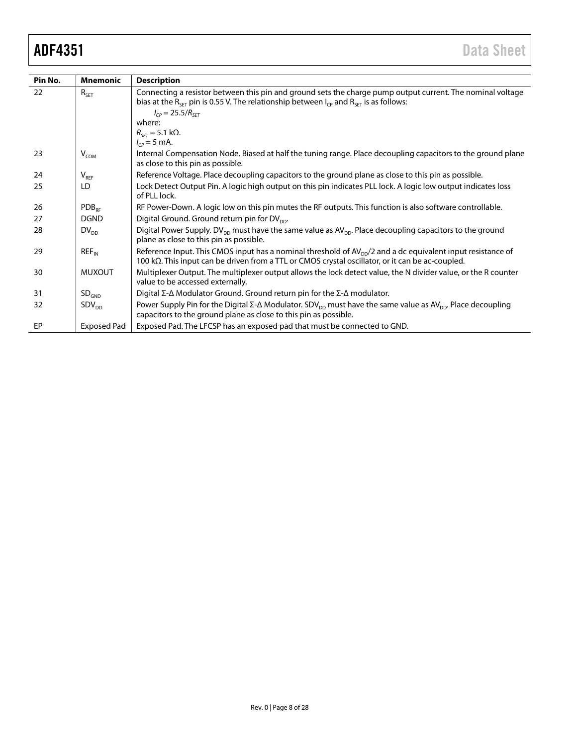| Pin No. | <b>Mnemonic</b>    | <b>Description</b>                                                                                                                                                                                                           |
|---------|--------------------|------------------------------------------------------------------------------------------------------------------------------------------------------------------------------------------------------------------------------|
| 22      | $R_{\sf SET}$      | Connecting a resistor between this pin and ground sets the charge pump output current. The nominal voltage                                                                                                                   |
|         |                    | bias at the R <sub>SFT</sub> pin is 0.55 V. The relationship between $I_{CP}$ and R <sub>SFT</sub> is as follows:                                                                                                            |
|         |                    | $I_{CP} = 25.5/R_{SFT}$                                                                                                                                                                                                      |
|         |                    | where:                                                                                                                                                                                                                       |
|         |                    | $R_{\text{SFT}}$ = 5.1 k $\Omega$ .                                                                                                                                                                                          |
|         |                    | $I_{CP} = 5 \text{ mA}.$                                                                                                                                                                                                     |
| 23      | $V_{COM}$          | Internal Compensation Node. Biased at half the tuning range. Place decoupling capacitors to the ground plane<br>as close to this pin as possible.                                                                            |
| 24      | $V_{REF}$          | Reference Voltage. Place decoupling capacitors to the ground plane as close to this pin as possible.                                                                                                                         |
| 25      | LD                 | Lock Detect Output Pin. A logic high output on this pin indicates PLL lock. A logic low output indicates loss<br>of PLL lock.                                                                                                |
| 26      | $PDB_{RF}$         | RF Power-Down. A logic low on this pin mutes the RF outputs. This function is also software controllable.                                                                                                                    |
| 27      | <b>DGND</b>        | Digital Ground. Ground return pin for DV <sub>pp</sub> .                                                                                                                                                                     |
| 28      | $DV_{DD}$          | Digital Power Supply. DV <sub>DD</sub> must have the same value as AV <sub>DD</sub> . Place decoupling capacitors to the ground<br>plane as close to this pin as possible.                                                   |
| 29      | $REF_{IN}$         | Reference Input. This CMOS input has a nominal threshold of $AV_{DD}/2$ and a dc equivalent input resistance of<br>100 k $\Omega$ . This input can be driven from a TTL or CMOS crystal oscillator, or it can be ac-coupled. |
| 30      | <b>MUXOUT</b>      | Multiplexer Output. The multiplexer output allows the lock detect value, the N divider value, or the R counter<br>value to be accessed externally.                                                                           |
| 31      | SD <sub>GND</sub>  | Digital $\Sigma$ - $\Delta$ Modulator Ground. Ground return pin for the $\Sigma$ - $\Delta$ modulator.                                                                                                                       |
| 32      | SDV <sub>nn</sub>  | Power Supply Pin for the Digital $\Sigma$ - $\Delta$ Modulator. SDV <sub>DD</sub> must have the same value as AV <sub>DD</sub> . Place decoupling<br>capacitors to the ground plane as close to this pin as possible.        |
| EP      | <b>Exposed Pad</b> | Exposed Pad. The LFCSP has an exposed pad that must be connected to GND.                                                                                                                                                     |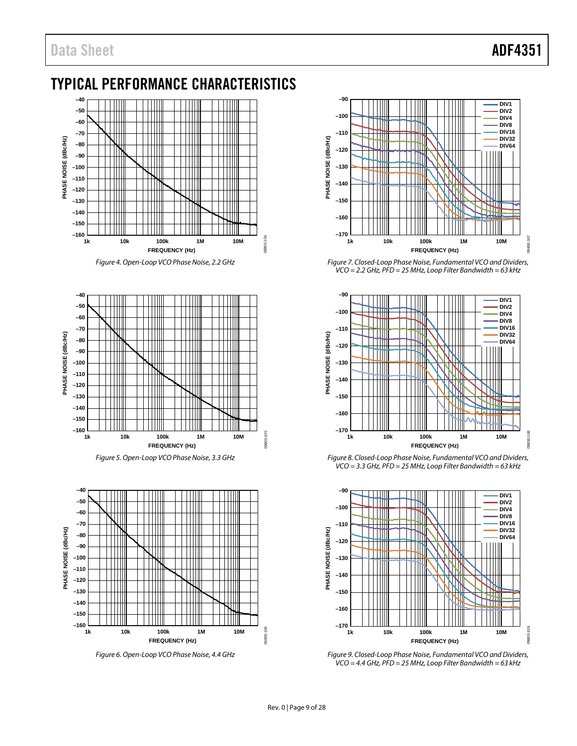## <span id="page-8-0"></span>TYPICAL PERFORMANCE CHARACTERISTICS



*Figure 4. Open-Loop VCO Phase Noise, 2.2 GHz*







*Figure 6. Open-Loop VCO Phase Noise, 4.4 GHz*



*Figure 7. Closed-Loop Phase Noise, Fundamental VCO and Dividers, VCO = 2.2 GHz, PFD = 25 MHz, Loop Filter Bandwidth = 63 kHz*



*Figure 8. Closed-Loop Phase Noise, Fundamental VCO and Dividers, VCO = 3.3 GHz, PFD = 25 MHz, Loop Filter Bandwidth = 63 kHz*



*Figure 9. Closed-Loop Phase Noise, Fundamental VCO and Dividers, VCO = 4.4 GHz, PFD = 25 MHz, Loop Filter Bandwidth = 63 kHz*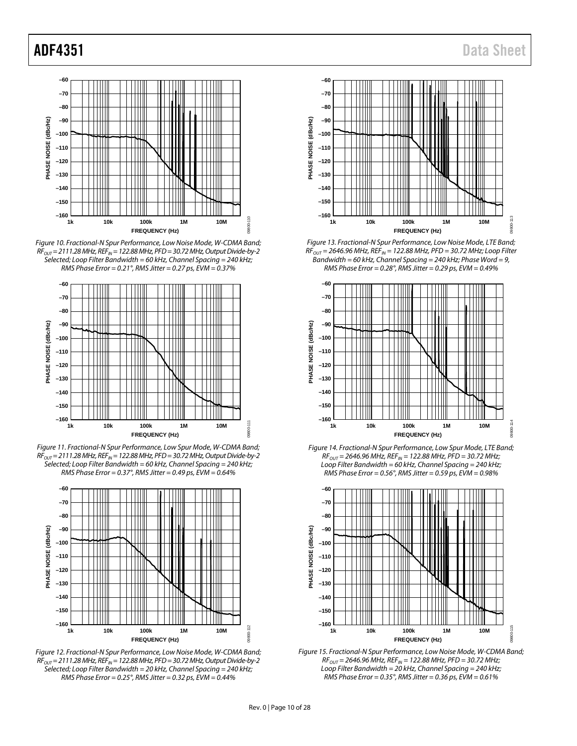

<span id="page-9-0"></span>*Figure 10. Fractional-N Spur Performance, Low Noise Mode, W-CDMA Band; RFOUT= 2111.28 MHz, REFIN = 122.88 MHz, PFD= 30.72 MHz, Output Divide-by-2 Selected; Loop Filter Bandwidth = 60 kHz, Channel Spacing = 240 kHz; RMS Phase Error = 0.21°, RMS Jitter = 0.27 ps, EVM = 0.37%*



*Figure 11. Fractional-N Spur Performance, Low Spur Mode, W-CDMA Band; RFOUT= 2111.28 MHz, REFIN = 122.88 MHz, PFD= 30.72 MHz, Output Divide-by-2 Selected; Loop Filter Bandwidth = 60 kHz, Channel Spacing = 240 kHz; RMS Phase Error = 0.37°, RMS Jitter = 0.49 ps, EVM = 0.64%*



<span id="page-9-1"></span>*Figure 12. Fractional-N Spur Performance, Low Noise Mode, W-CDMA Band; RFOUT= 2111.28 MHz, REFIN = 122.88 MHz, PFD= 30.72 MHz, Output Divide-by-2 Selected; Loop Filter Bandwidth = 20 kHz, Channel Spacing = 240 kHz; RMS Phase Error = 0.25°, RMS Jitter = 0.32 ps, EVM = 0.44%*



*Figure 13. Fractional-N Spur Performance, Low Noise Mode, LTE Band; RFOUT = 2646.96 MHz, REFIN = 122.88 MHz, PFD = 30.72 MHz; Loop Filter Bandwidth = 60 kHz, Channel Spacing = 240 kHz; Phase Word = 9, RMS Phase Error = 0.28°, RMS Jitter = 0.29 ps, EVM = 0.49%*







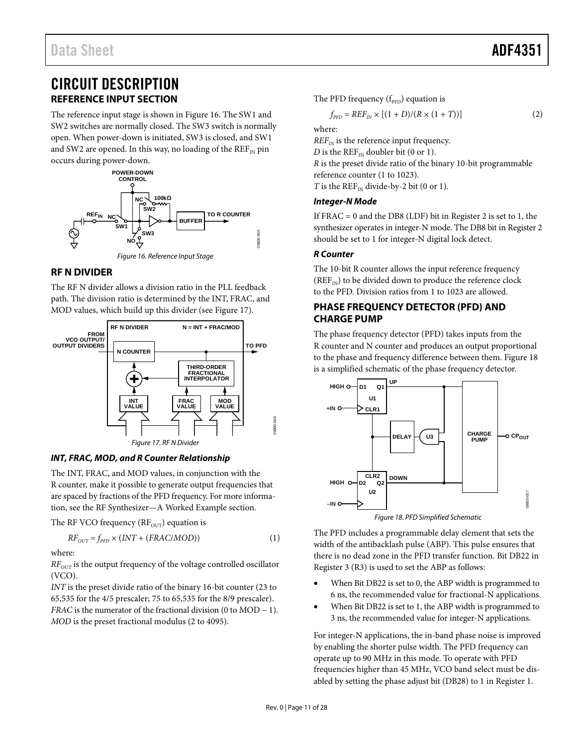## <span id="page-10-0"></span>CIRCUIT DESCRIPTION **REFERENCE INPUT SECTION**

<span id="page-10-1"></span>The reference input stage is shown in [Figure 16.](#page-10-4) The SW1 and SW2 switches are normally closed. The SW3 switch is normally open. When power-down is initiated, SW3 is closed, and SW1 and SW2 are opened. In this way, no loading of the  $REF_{IN}$  pin occurs during power-down.



#### <span id="page-10-4"></span><span id="page-10-2"></span>**RF N DIVIDER**

The RF N divider allows a division ratio in the PLL feedback path. The division ratio is determined by the INT, FRAC, and MOD values, which build up this divider (see [Figure 17\)](#page-10-5).



#### <span id="page-10-7"></span><span id="page-10-5"></span>*INT, FRAC, MOD, and R Counter Relationship*

The INT, FRAC, and MOD values, in conjunction with the R counter, make it possible to generate output frequencies that are spaced by fractions of the PFD frequency. For more information, see the [RF Synthesizer—A Worked Example](#page-20-0) section.

The RF VCO frequency ( $RF_{OUT}$ ) equation is

$$
RF_{OUT} = f_{PFD} \times (INT + (FRAC/MOD))
$$
 (1)

where:

*RF<sub>OUT</sub>* is the output frequency of the voltage controlled oscillator (VCO).

*INT* is the preset divide ratio of the binary 16-bit counter (23 to 65,535 for the 4/5 prescaler; 75 to 65,535 for the 8/9 prescaler). *FRAC* is the numerator of the fractional division (0 to MOD − 1). *MOD* is the preset fractional modulus (2 to 4095).

The PFD frequency  $(f_{\text{PPD}})$  equation is

$$
f_{\rm PFD} = REF_{IN} \times [(1+D)/(R \times (1+T))]
$$
 (2)

where:

 $REF_{IN}$  is the reference input frequency.

*D* is the REF<sub>IN</sub> doubler bit (0 or 1).

*R* is the preset divide ratio of the binary 10-bit programmable reference counter (1 to 1023).

*T* is the  $REF_{IN}$  divide-by-2 bit (0 or 1).

#### *Integer-N Mode*

If  $FRAC = 0$  and the DB8 (LDF) bit in Register 2 is set to 1, the synthesizer operates in integer-N mode. The DB8 bit in Register 2 should be set to 1 for integer-N digital lock detect.

#### *R Counter*

The 10-bit R counter allows the input reference frequency  $(REF_{IN})$  to be divided down to produce the reference clock to the PFD. Division ratios from 1 to 1023 are allowed.

#### <span id="page-10-3"></span>**PHASE FREQUENCY DETECTOR (PFD) AND CHARGE PUMP**

The phase frequency detector (PFD) takes inputs from the R counter and N counter and produces an output proportional to the phase and frequency difference between them[. Figure 18](#page-10-6) is a simplified schematic of the phase frequency detector.



*Figure 18. PFD Simplified Schematic*

<span id="page-10-6"></span>The PFD includes a programmable delay element that sets the width of the antibacklash pulse (ABP). This pulse ensures that there is no dead zone in the PFD transfer function. Bit DB22 in Register 3 (R3) is used to set the ABP as follows:

- When Bit DB22 is set to 0, the ABP width is programmed to 6 ns, the recommended value for fractional-N applications.
- When Bit DB22 is set to 1, the ABP width is programmed to 3 ns, the recommended value for integer-N applications.

For integer-N applications, the in-band phase noise is improved by enabling the shorter pulse width. The PFD frequency can operate up to 90 MHz in this mode. To operate with PFD frequencies higher than 45 MHz, VCO band select must be disabled by setting the phase adjust bit (DB28) to 1 in Register 1.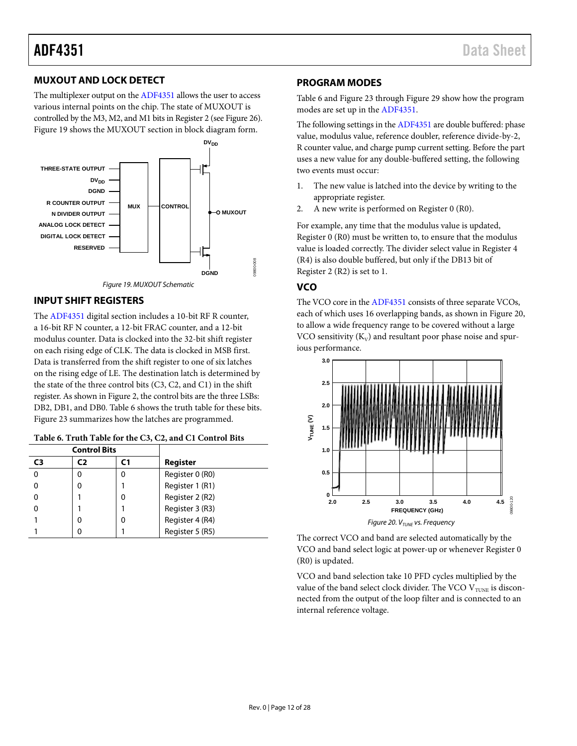#### <span id="page-11-0"></span>**MUXOUT AND LOCK DETECT**

The multiplexer output on th[e ADF4351](http://www.analog.com/ADF4351) allows the user to access various internal points on the chip. The state of MUXOUT is controlled by the M3, M2, and M1 bits in Register 2 (se[e Figure 26\)](#page-15-0). [Figure 19](#page-11-4) shows the MUXOUT section in block diagram form.





#### <span id="page-11-4"></span><span id="page-11-1"></span>**INPUT SHIFT REGISTERS**

The [ADF4351](http://www.analog.com/ADF4351) digital section includes a 10-bit RF R counter, a 16-bit RF N counter, a 12-bit FRAC counter, and a 12-bit modulus counter. Data is clocked into the 32-bit shift register on each rising edge of CLK. The data is clocked in MSB first. Data is transferred from the shift register to one of six latches on the rising edge of LE. The destination latch is determined by the state of the three control bits (C3, C2, and C1) in the shift register. As shown in [Figure 2,](#page-4-1) the control bits are the three LSBs: DB2, DB1, and DB0[. Table 6](#page-11-5) shows the truth table for these bits. [Figure 23](#page-13-1) summarizes how the latches are programmed.

<span id="page-11-5"></span>

|  |  |  | Table 6. Truth Table for the C3, C2, and C1 Control Bits |
|--|--|--|----------------------------------------------------------|
|--|--|--|----------------------------------------------------------|

|    | <b>Control Bits</b> |    |                 |  |
|----|---------------------|----|-----------------|--|
| C3 | C)                  | ٢1 | Register        |  |
|    | O                   |    | Register 0 (R0) |  |
|    |                     |    | Register 1 (R1) |  |
|    |                     |    | Register 2 (R2) |  |
|    |                     |    | Register 3 (R3) |  |
|    |                     |    | Register 4 (R4) |  |
|    |                     |    | Register 5 (R5) |  |

#### <span id="page-11-2"></span>**PROGRAM MODES**

[Table 6](#page-11-5) an[d Figure 23](#page-13-1) throug[h Figure 29](#page-16-0) show how the program modes are set up in the [ADF4351.](http://www.analog.com/ADF4351)

The following settings in th[e ADF4351](http://www.analog.com/ADF4351) are double buffered: phase value, modulus value, reference doubler, reference divide-by-2, R counter value, and charge pump current setting. Before the part uses a new value for any double-buffered setting, the following two events must occur:

- 1. The new value is latched into the device by writing to the appropriate register.
- 2. A new write is performed on Register 0 (R0).

For example, any time that the modulus value is updated, Register 0 (R0) must be written to, to ensure that the modulus value is loaded correctly. The divider select value in Register 4 (R4) is also double buffered, but only if the DB13 bit of Register 2 (R2) is set to 1.

#### <span id="page-11-3"></span>**VCO**

The VCO core in th[e ADF4351](http://www.analog.com/ADF4351) consists of three separate VCOs, each of which uses 16 overlapping bands, as shown i[n Figure 20,](#page-11-6) to allow a wide frequency range to be covered without a large VCO sensitivity  $(K_V)$  and resultant poor phase noise and spurious performance.



<span id="page-11-6"></span>The correct VCO and band are selected automatically by the VCO and band select logic at power-up or whenever Register 0 (R0) is updated.

VCO and band selection take 10 PFD cycles multiplied by the value of the band select clock divider. The VCO  $V_{\text{TUNE}}$  is disconnected from the output of the loop filter and is connected to an internal reference voltage.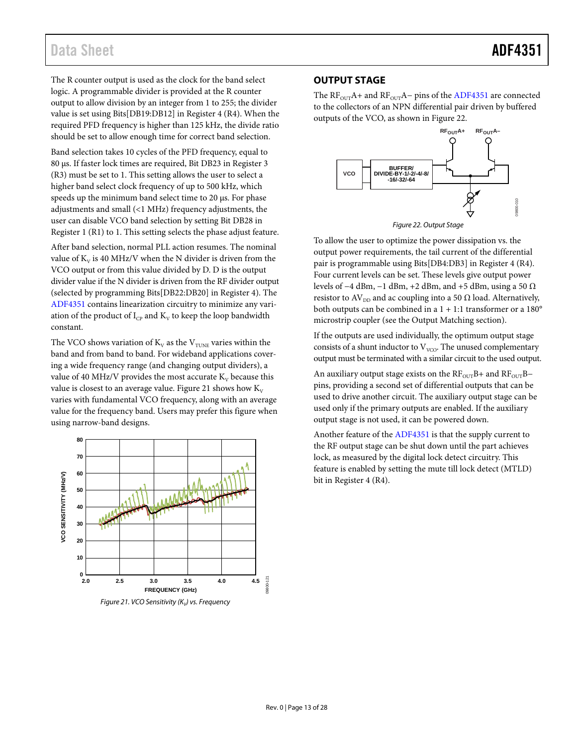## Data Sheet **ADF4351**

The R counter output is used as the clock for the band select logic. A programmable divider is provided at the R counter output to allow division by an integer from 1 to 255; the divider value is set using Bits[DB19:DB12] in Register 4 (R4). When the required PFD frequency is higher than 125 kHz, the divide ratio should be set to allow enough time for correct band selection.

Band selection takes 10 cycles of the PFD frequency, equal to 80 µs. If faster lock times are required, Bit DB23 in Register 3 (R3) must be set to 1. This setting allows the user to select a higher band select clock frequency of up to 500 kHz, which speeds up the minimum band select time to 20 µs. For phase adjustments and small (<1 MHz) frequency adjustments, the user can disable VCO band selection by setting Bit DB28 in Register 1 (R1) to 1. This setting selects the phase adjust feature.

After band selection, normal PLL action resumes. The nominal value of  $K_v$  is 40 MHz/V when the N divider is driven from the VCO output or from this value divided by D. D is the output divider value if the N divider is driven from the RF divider output (selected by programming Bits[DB22:DB20] in Register 4). The [ADF4351](http://www.analog.com/ADF4351) contains linearization circuitry to minimize any variation of the product of  $I_{CP}$  and  $K_V$  to keep the loop bandwidth constant.

The VCO shows variation of  $K_V$  as the  $V_{\text{TUNE}}$  varies within the band and from band to band. For wideband applications covering a wide frequency range (and changing output dividers), a value of 40 MHz/V provides the most accurate  $K_v$  because this value is closest to an average value[. Figure 21](#page-12-1) shows how  $K_V$ varies with fundamental VCO frequency, along with an average value for the frequency band. Users may prefer this figure when using narrow-band designs.

<span id="page-12-1"></span>

#### <span id="page-12-0"></span>**OUTPUT STAGE**

The  $RF_{OUT}A+$  and  $RF_{OUT}A-$  pins of the [ADF4351](http://www.analog.com/ADF4351) are connected to the collectors of an NPN differential pair driven by buffered outputs of the VCO, as shown i[n Figure 22.](#page-12-2) 



*Figure 22. Output Stage*

<span id="page-12-2"></span>To allow the user to optimize the power dissipation vs. the output power requirements, the tail current of the differential pair is programmable using Bits[DB4:DB3] in Register 4 (R4). Four current levels can be set. These levels give output power levels of −4 dBm, −1 dBm, +2 dBm, and +5 dBm, using a 50 Ω resistor to AV<sub>DD</sub> and ac coupling into a 50  $\Omega$  load. Alternatively, both outputs can be combined in a  $1 + 1:1$  transformer or a  $180^\circ$ microstrip coupler (see the [Output Matching](#page-26-0) section).

If the outputs are used individually, the optimum output stage consists of a shunt inductor to  $V_{VCO}$ . The unused complementary output must be terminated with a similar circuit to the used output.

An auxiliary output stage exists on the  $RF<sub>OUT</sub>B+$  and  $RF<sub>OUT</sub>B$ pins, providing a second set of differential outputs that can be used to drive another circuit. The auxiliary output stage can be used only if the primary outputs are enabled. If the auxiliary output stage is not used, it can be powered down.

Another feature of the [ADF4351](http://www.analog.com/ADF4351) is that the supply current to the RF output stage can be shut down until the part achieves lock, as measured by the digital lock detect circuitry. This feature is enabled by setting the mute till lock detect (MTLD) bit in Register 4 (R4).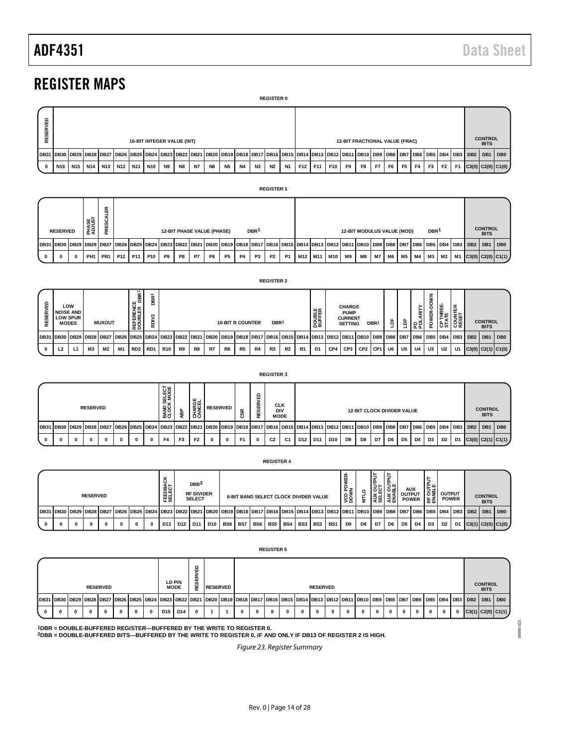## <span id="page-13-0"></span>REGISTER MAPS

| <b>REGISTER 0</b> |                                                  |       |     |                                 |  |     |                 |     |                                                                                                                                                                                                                   |    |           |           |           |           |                                       |    |           |     |     |     |    |      |      |                               |                |                |                |           |           |  |  |                         |
|-------------------|--------------------------------------------------|-------|-----|---------------------------------|--|-----|-----------------|-----|-------------------------------------------------------------------------------------------------------------------------------------------------------------------------------------------------------------------|----|-----------|-----------|-----------|-----------|---------------------------------------|----|-----------|-----|-----|-----|----|------|------|-------------------------------|----------------|----------------|----------------|-----------|-----------|--|--|-------------------------|
|                   | ę<br>RESERY<br><b>16-BIT INTEGER VALUE (INT)</b> |       |     |                                 |  |     |                 |     |                                                                                                                                                                                                                   |    |           |           |           |           | <b>12-BIT FRACTIONAL VALUE (FRAC)</b> |    |           |     |     |     |    |      |      | <b>CONTROL</b><br><b>BITS</b> |                |                |                |           |           |  |  |                         |
|                   |                                                  |       |     |                                 |  |     |                 |     | 10B31 DB30   DB29   DB28   DB27   DB26   DB25   DB24   DB23   DB22   DB22   DB21   DB20   DB19   DB17   DB15   DB15   DB13   DB12   DB11   DB10   DB3   DB3   DB8   DB7   DB6   DB5   DB5   DB3   DB3   DB2   DB1 |    |           |           |           |           |                                       |    |           |     |     |     |    |      |      |                               |                |                |                |           |           |  |  | DB <sub>0</sub>         |
|                   | $\mathbf{0}$                                     | N16 I | N15 | N <sub>14</sub> N <sub>13</sub> |  | N12 | N <sub>11</sub> | N10 | <b>N9</b>                                                                                                                                                                                                         | N8 | <b>N7</b> | <b>N6</b> | <b>N5</b> | <b>N4</b> | N3                                    | N2 | <b>N1</b> | F12 | F11 | F10 | F9 | F8 I | F7 1 | F6                            | F <sub>5</sub> | F <sub>4</sub> | F <sub>3</sub> | <b>F2</b> | <b>F1</b> |  |  | $C3(0)$ $C2(0)$ $C1(0)$ |

|   |                 |   |                 |                 |                 |                 |            |                |    |                                   |    |           |    |                  | <b>REGISTER 1</b> |           |                                   |                 |    |                                   |           |       |    |           |                  |    |    |                                                                                                                                                                                                                         |                               |                 |
|---|-----------------|---|-----------------|-----------------|-----------------|-----------------|------------|----------------|----|-----------------------------------|----|-----------|----|------------------|-------------------|-----------|-----------------------------------|-----------------|----|-----------------------------------|-----------|-------|----|-----------|------------------|----|----|-------------------------------------------------------------------------------------------------------------------------------------------------------------------------------------------------------------------------|-------------------------------|-----------------|
|   | <b>RESERVED</b> |   | PHASE<br>ADJUST | ≃<br>PRESC.     |                 |                 |            |                |    | <b>12-BIT PHASE VALUE (PHASE)</b> |    |           |    | DBR <sup>1</sup> |                   |           |                                   |                 |    | <b>12-BIT MODULUS VALUE (MOD)</b> |           |       |    |           | DBR <sup>1</sup> |    |    |                                                                                                                                                                                                                         | <b>CONTROL</b><br><b>BITS</b> |                 |
|   |                 |   |                 |                 |                 |                 |            |                |    |                                   |    |           |    |                  |                   |           |                                   |                 |    |                                   |           |       |    |           |                  |    |    | IDB31  DB30  DB29  DB28  DB27  DB26  DB25  DB24  DB23  DB22  DB22  DB21  DB20  DB19  DB18  DB17  DB15  DB15  DB14  DB13  DB12  DB11  DB10  DB1  DB3   DB8  DB7  DB6  DB5  DB4   DB3   DB2   DB3   DB2   DB3   DB2   DB1 |                               | DB <sub>0</sub> |
| 0 | 0               | 0 | PH <sub>1</sub> | PR <sub>1</sub> | P <sub>12</sub> | P <sub>11</sub> | <b>P10</b> | P <sub>9</sub> | P8 | P7                                | P6 | <b>P5</b> | P4 | P3               | <b>P2</b>         | <b>P1</b> | M <sub>12</sub>   M <sub>11</sub> | M <sub>10</sub> | M9 | M8                                | <b>M7</b> | 'IM6I | M5 | <b>M4</b> | ΜЗ               | M2 | M1 | C3(0) C2(0) C1(1)                                                                                                                                                                                                       |                               |                 |

|          |                |                                                            |                 |                |           |                                       |                                       |                           |                |        |    |                         |                |               | <b>REGISTER 2</b> |                                                                                                                                                                                           |    |                  |     |                                                                  |                                   |                  |    |                |                |                 |                    |                  |                               |  |
|----------|----------------|------------------------------------------------------------|-----------------|----------------|-----------|---------------------------------------|---------------------------------------|---------------------------|----------------|--------|----|-------------------------|----------------|---------------|-------------------|-------------------------------------------------------------------------------------------------------------------------------------------------------------------------------------------|----|------------------|-----|------------------------------------------------------------------|-----------------------------------|------------------|----|----------------|----------------|-----------------|--------------------|------------------|-------------------------------|--|
| RESERVED |                | LOW<br><b>NOISE AND</b><br><b>LOW SPUR</b><br><b>MODES</b> |                 | <b>MUXOUT</b>  |           | reference<br>Doubler DBR <sup>1</sup> | DBR <sup>1</sup><br>RDIV <sub>2</sub> |                           |                |        |    | <b>10-BIT R COUNTER</b> |                |               | DBR <sup>1</sup>  |                                                                                                                                                                                           |    | DOUBLE<br>BUFFER |     | <b>CHARGE</b><br><b>PUMP</b><br><b>CURRENT</b><br><b>SETTING</b> |                                   | DBR <sup>1</sup> | ë  | å              | E<br>F<br>윤론   | NMOG-<br>POWER- | OP THREE-<br>STATE | COUNTER<br>RESET | <b>CONTROL</b><br><b>BITS</b> |  |
|          |                |                                                            |                 |                |           |                                       |                                       |                           |                |        |    |                         |                |               |                   | DB31  DB30  DB29  DB28  DB27  DB26  DB25  DB24  DB23  DB22  DB21  DB20  DB19  DB18  DB17  DB16  DB15  DB14  DB13  DB12  DB11  DB10  DB3  DB8  DB7  DB6  DB5  DB4  DB3   DB2  DB2  DB7  DB |    |                  |     |                                                                  |                                   |                  |    |                |                |                 |                    |                  | DB1 DB0                       |  |
| $\Omega$ | L <sub>2</sub> | L <sub>1</sub>                                             | M <sub>3</sub>  | M <sub>2</sub> | <b>M1</b> | RD <sub>2</sub>                       | RD1                                   | R <sub>10</sub>           | R <sub>9</sub> | R8     | R7 | R6                      | R <sub>5</sub> | <b>R4</b>     | R <sub>3</sub>    | R <sub>2</sub>                                                                                                                                                                            | R1 | D <sub>1</sub>   | CP4 | CP3                                                              | CP2                               | CP1              | U6 | U <sub>5</sub> | U <sub>4</sub> | U3              | U <sub>2</sub>     | U1               | $C3(0)$ $C2(1)$ $C1(0)$       |  |
|          |                |                                                            |                 |                |           |                                       |                                       |                           |                |        |    |                         |                |               | <b>REGISTER 3</b> |                                                                                                                                                                                           |    |                  |     |                                                                  |                                   |                  |    |                |                |                 |                    |                  |                               |  |
|          |                |                                                            | <b>RESERVED</b> |                |           |                                       |                                       | BAND SELECT<br>CLOCK MODE | 윱              | CHARGE |    | <b>RESERVED</b>         | ន៍             | RVED<br>RESEI |                   | <b>CLK</b><br><b>DIV</b><br><b>MODE</b>                                                                                                                                                   |    |                  |     |                                                                  | <b>12-BIT CLOCK DIVIDER VALUE</b> |                  |    |                |                |                 |                    |                  | <b>CONTROL</b><br><b>BITS</b> |  |

|  |   |              |                 |   |              |   |              |                                   |                |                         |                 |                |                | <b>REGISTER 3</b> |                           |                 |                 |                 |    |                                   |    |    |                |    |                |                |    |                                                                                                                                                                             |                               |  |
|--|---|--------------|-----------------|---|--------------|---|--------------|-----------------------------------|----------------|-------------------------|-----------------|----------------|----------------|-------------------|---------------------------|-----------------|-----------------|-----------------|----|-----------------------------------|----|----|----------------|----|----------------|----------------|----|-----------------------------------------------------------------------------------------------------------------------------------------------------------------------------|-------------------------------|--|
|  |   |              | <b>RESERVED</b> |   |              |   |              | <b>BAND SELECT<br/>CLOCK MODE</b> | à              | ب س<br>CHARGI<br>CANCEL | <b>RESERVED</b> |                | ш<br>SER`<br>쁕 | <b>DIV</b>        | <b>CLK</b><br><b>MODE</b> |                 |                 |                 |    | <b>12-BIT CLOCK DIVIDER VALUE</b> |    |    |                |    |                |                |    |                                                                                                                                                                             | <b>CONTROL</b><br><b>BITS</b> |  |
|  |   |              |                 |   |              |   |              |                                   |                |                         |                 |                |                |                   |                           |                 |                 |                 |    |                                   |    |    |                |    |                |                |    | 10B31 DB30 DB29 DB28 DB27 DB26 DB25 DB24 DB23 DB22 DB21 DB20 DB19 DB19 DB18 DB17 DB16 DB15 DB14 DB13 DB12 DB11 DB10 DB9 DB8 DB8 DB8 DB7 DB6 DB5 DB4 DB3 DB4 DB3 DB2 DB1 DB1 |                               |  |
|  | 0 | $\mathbf{0}$ | 0               | 0 | <sup>0</sup> | 0 | $\mathbf{0}$ | F <sub>4</sub>                    | F <sub>3</sub> | F <sub>2</sub>          | 0               | F <sub>1</sub> | 0              | C <sub>2</sub>    | C <sub>1</sub>            | D <sub>12</sub> | D <sub>11</sub> | D <sub>10</sub> | D9 | D8                                | D7 | D6 | D <sub>5</sub> | D4 | D <sub>3</sub> | D <sub>2</sub> | D1 | C3(0) C2(1) C1(1)                                                                                                                                                           |                               |  |

|      |  | <b>RESERVED</b> |                                                                                                                                                                                                                      |          |          | FEEDBA<br>SELECT |                 | DBB <sup>2</sup><br><b>RF DIVIDER</b><br><b>SELECT</b> |                 |     |     |     | 8-BIT BAND SELECT CLOCK DIVIDER VALUE |       |     |                 |     | 88<br>50       |    | 불  | 5щ<br> 흥찍 흥물 | <b>AUX</b><br><b>OUTPUT</b><br><b>POWER</b> |    | 특별 <br>  ၁ 명   output<br>눈롭 | <b>POWER</b> |    |                                    | <b>CONTROL</b><br><b>BITS</b> |                 |
|------|--|-----------------|----------------------------------------------------------------------------------------------------------------------------------------------------------------------------------------------------------------------|----------|----------|------------------|-----------------|--------------------------------------------------------|-----------------|-----|-----|-----|---------------------------------------|-------|-----|-----------------|-----|----------------|----|----|--------------|---------------------------------------------|----|-----------------------------|--------------|----|------------------------------------|-------------------------------|-----------------|
| DB31 |  |                 | I   DB30   DB28   DB27   DB26   DB25   DB24   DB23   DB22   DB21   DB20   DB19   DB18   DB17   DB16   DB16   DB14   DB12   DB11   DB10   DB9   DB8   DB7   DB6   DB7   DB8   DB3   DB4   DB3   DB4   DB3   DB2   DB1 |          |          |                  |                 |                                                        |                 |     |     |     |                                       |       |     |                 |     |                |    |    |              |                                             |    |                             |              |    |                                    |                               | DB <sub>0</sub> |
|      |  |                 |                                                                                                                                                                                                                      | $\bf{0}$ | $\bf{0}$ | D13              | D <sub>12</sub> | D11                                                    | D <sub>10</sub> | BS8 | BS7 | BS6 | BS <sub>5</sub>                       | BS4 I | BS3 | BS <sub>2</sub> | BS1 | D <sub>9</sub> | D8 | D7 | D6           | D5                                          | D4 | D3                          | D2           | D1 | $\left  \right $ C3(1) C2(0) C1(0) |                               |                 |

**REGISTER 4**

|                                                                                                                                                                                                                      |              |              |                 |          |          |          |                 |                       |                            |                 |              |   | <b>REGISTER 5</b> |  |                 |   |          |              |              |            |              |              |             |              |                               |  |
|----------------------------------------------------------------------------------------------------------------------------------------------------------------------------------------------------------------------|--------------|--------------|-----------------|----------|----------|----------|-----------------|-----------------------|----------------------------|-----------------|--------------|---|-------------------|--|-----------------|---|----------|--------------|--------------|------------|--------------|--------------|-------------|--------------|-------------------------------|--|
|                                                                                                                                                                                                                      |              |              | <b>RESERVED</b> |          |          |          |                 | LD PIN<br><b>MODE</b> | A<br>SER <sup>-</sup><br>뷡 | <b>RESERVED</b> |              |   |                   |  | <b>RESERVED</b> |   |          |              |              |            |              |              |             |              | <b>CONTROL</b><br><b>BITS</b> |  |
| DB31  DB30  DB29  DB28  DB27  DB26  DB25  DB24  DB23  DB22  DB21  DB20  DB19  DB18  DB17  DB16  DB15  DB14  DB13  DB12  DB11  DB10  DB9  DB8  DB7  DB6  DB5  DB4  DB3   DB2   DB1  DB3  DB2  DB4  DB3  DB2  DB1  DB0 |              |              |                 |          |          |          |                 |                       |                            |                 |              |   |                   |  |                 |   |          |              |              |            |              |              |             |              |                               |  |
| 0                                                                                                                                                                                                                    | $\mathbf{0}$ | $\mathbf{0}$ | 0               | $\bf{0}$ | $\Omega$ | $\Omega$ | D <sub>15</sub> | D <sub>14</sub>       | $\mathbf{0}$               |                 | $\mathbf{0}$ | 0 | $\mathbf{0}$      |  | $\bf{0}$        | 0 | $\bf{0}$ | $\mathbf{0}$ | $\mathbf{0}$ | $^{\circ}$ | $\mathbf{0}$ | $\mathbf{0}$ | $\mathbf 0$ | $\mathbf{0}$ | C3(1) C2(0) C1(1)             |  |

<span id="page-13-1"></span>**1DBR = DOUBLE-BUFFERED REGISTER—BUFFERED BY THE WRITE TO REGISTER 0. 2DBB = DOUBLE-BUFFERED BITS—BUFFERED BY THE WRITE TO REGISTER 0, IF AND ONLY IF DB13 OF REGISTER 2 IS HIGH.**

*Figure 23. Register Summary*

09800-023

09800-023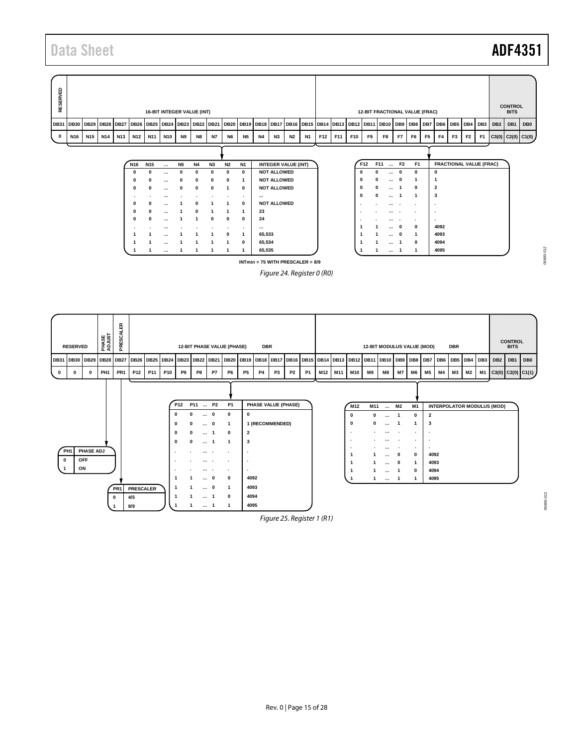## Data Sheet **ADF4351**

| RESERVED    |                                                                            |                 |     |     |                 |                 | 16-BIT INTEGER VALUE (INT) |              |              |              |              |              |           |                            |           |           |     |     |          |          | 12-BIT FRACTIONAL VALUE (FRAC)                                                               |                |                |                |                         |                       |                |                                |                 | <b>CONTROL</b><br><b>BITS</b> |                   |
|-------------|----------------------------------------------------------------------------|-----------------|-----|-----|-----------------|-----------------|----------------------------|--------------|--------------|--------------|--------------|--------------|-----------|----------------------------|-----------|-----------|-----|-----|----------|----------|----------------------------------------------------------------------------------------------|----------------|----------------|----------------|-------------------------|-----------------------|----------------|--------------------------------|-----------------|-------------------------------|-------------------|
|             | DB31   DB30   DB29   DB28   DB27   DB26   DB25   DB24   DB23   DB22   DB21 |                 |     |     |                 |                 |                            |              |              |              |              |              |           |                            |           |           |     |     |          |          | DB20   DB19   DB18   DB17   DB16   DB15   DB14   DB13   DB12   DB11   DB10   DB9   DB8   DB7 |                |                |                |                         | DB6   DB5   DB4   DB3 |                |                                | DB <sub>2</sub> | DB <sub>1</sub>               | DB <sub>0</sub>   |
| $\mathbf 0$ | N <sub>16</sub>                                                            | N <sub>15</sub> | N14 | N13 | N12             | N <sub>11</sub> | <b>N10</b>                 | <b>N9</b>    | <b>N8</b>    | <b>N7</b>    | <b>N6</b>    | <b>N5</b>    | <b>N4</b> | <b>N3</b>                  | <b>N2</b> | <b>N1</b> | F12 | F11 | F10      | F9       | F8                                                                                           | F7             | F <sub>6</sub> | F <sub>5</sub> | F <sub>4</sub>          | F <sub>3</sub>        | F <sub>2</sub> | F1                             |                 |                               | C3(0) C2(0) C1(0) |
|             |                                                                            |                 |     |     |                 |                 |                            |              |              |              |              |              |           |                            |           |           |     |     |          |          |                                                                                              |                |                |                |                         |                       |                |                                |                 |                               |                   |
|             |                                                                            |                 |     |     | N <sub>16</sub> | <b>N15</b>      |                            | <b>N5</b>    | <b>N4</b>    | <b>N3</b>    | <b>N2</b>    | <b>N1</b>    |           | <b>INTEGER VALUE (INT)</b> |           |           |     |     |          | F12      | F11<br>$\sim$                                                                                | F <sub>2</sub> | F <sub>1</sub> |                |                         |                       |                | <b>FRACTIONAL VALUE (FRAC)</b> |                 |                               |                   |
|             |                                                                            |                 |     |     |                 |                 | $\ddotsc$                  |              | $\bf{0}$     | $\mathbf{0}$ | 0            | $\mathbf{0}$ |           | <b>NOT ALLOWED</b>         |           |           |     |     | $\Omega$ | ŋ        | $\cdots$                                                                                     | $\mathbf 0$    | $\mathbf 0$    |                | $\mathbf 0$             |                       |                |                                |                 |                               |                   |
|             |                                                                            |                 |     |     |                 |                 |                            | $\mathbf 0$  | $\mathbf 0$  | $\mathbf 0$  | 0            | -1           |           | <b>NOT ALLOWED</b>         |           |           |     |     | 0        | $\Omega$ | $\cdots$                                                                                     | $\mathbf 0$    |                |                |                         |                       |                |                                |                 |                               |                   |
|             |                                                                            |                 |     |     |                 |                 |                            | $\mathbf{0}$ | $\mathbf{0}$ | $\mathbf 0$  | $\mathbf{1}$ | $\mathbf 0$  |           | <b>NOT ALLOWED</b>         |           |           |     |     | 0        | 0        | $\cdots$                                                                                     | -1             | $\mathbf 0$    |                | $\overline{\mathbf{2}}$ |                       |                |                                |                 |                               |                   |
|             |                                                                            |                 |     |     |                 |                 |                            |              |              |              |              |              | $\cdots$  |                            |           |           |     |     | $\Omega$ | 0        | $\cdots$                                                                                     |                |                |                | 3                       |                       |                |                                |                 |                               |                   |
|             |                                                                            |                 |     |     |                 |                 |                            |              |              |              |              | $\mathbf{0}$ |           | <b>NOT ALLOWED</b>         |           |           |     |     |          |          | $\cdots$                                                                                     |                |                | ۰.             |                         |                       |                |                                |                 |                               |                   |
|             |                                                                            |                 |     |     |                 |                 |                            |              | $\mathbf{0}$ |              | -1           |              | 23        |                            |           |           |     |     |          |          |                                                                                              | $\cdots$       |                | ۰.             |                         |                       |                |                                |                 |                               |                   |

<span id="page-14-0"></span>

**1 1 ... 0 1 4093 1 1 ... 1 0 4094 1 1 ... 1 1 4095**

<span id="page-14-1"></span>**PR1 PRESCALER 0 4/5 1 8/9**



**INTmin = 75 WITH PRESCALER = 8/9** *Figure 24. Register 0 (R0)* **. . ... . . . 1 ... 0 0 4092 1 ... 0 1 4093 1 ... 1 0 4094 1 ... 1 1 4095**

*Figure 25. Register 1 (R1)*

09800-012 09800-012

09800-013

09800-013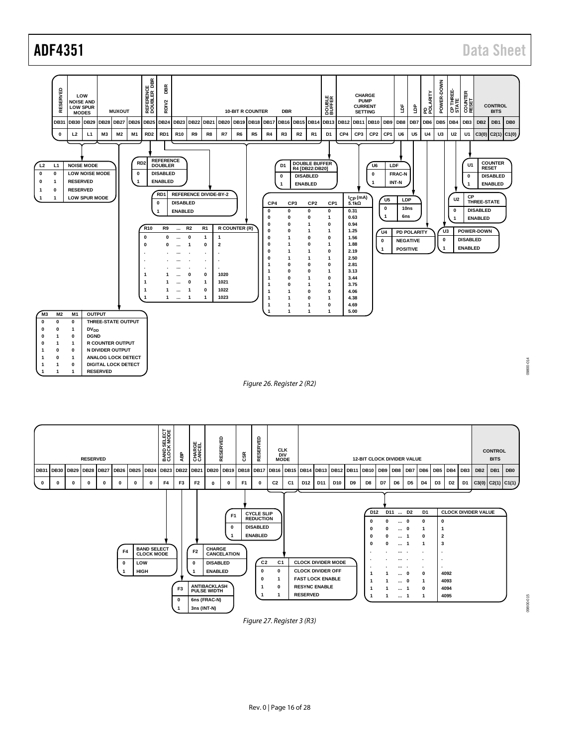

<span id="page-15-1"></span><span id="page-15-0"></span>

Rev. 0 | Page 16 of 28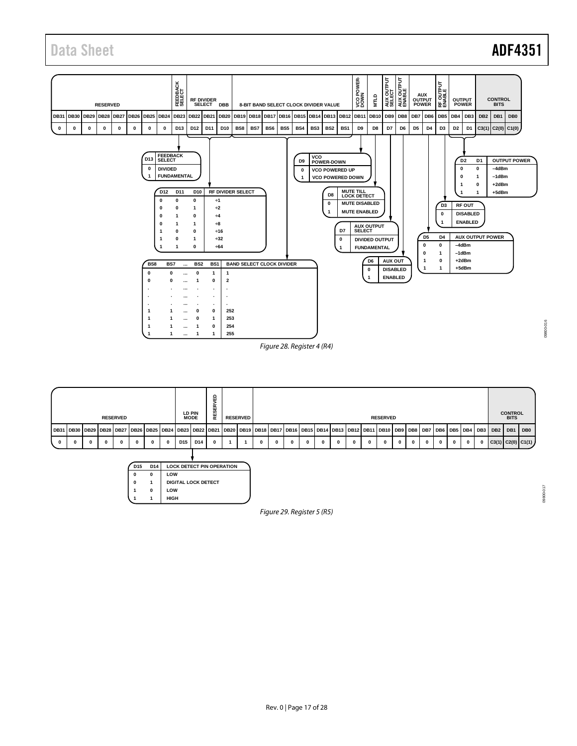## Data Sheet **ADF4351**



<span id="page-16-1"></span><span id="page-16-0"></span>

*Figure 29. Register 5 (R5)*

09800-017

T10-00860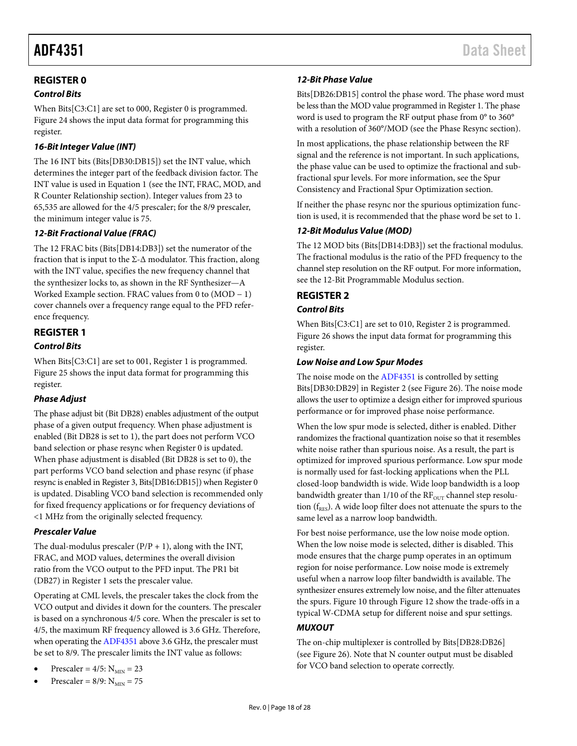#### <span id="page-17-0"></span>**REGISTER 0**

#### *Control Bits*

When Bits[C3:C1] are set to 000, Register 0 is programmed. [Figure 24](#page-14-0) shows the input data format for programming this register.

#### *16-Bit Integer Value (INT)*

The 16 INT bits (Bits[DB30:DB15]) set the INT value, which determines the integer part of the feedback division factor. The INT value is used in Equation 1 (see th[e INT, FRAC, MOD,](#page-10-7) and [R Counter Relationship](#page-10-7) section). Integer values from 23 to 65,535 are allowed for the 4/5 prescaler; for the 8/9 prescaler, the minimum integer value is 75.

#### *12-Bit Fractional Value (FRAC)*

The 12 FRAC bits (Bits[DB14:DB3]) set the numerator of the fraction that is input to the  $\Sigma$ - $\Delta$  modulator. This fraction, along with the INT value, specifies the new frequency channel that the synthesizer locks to, as shown in the [RF Synthesizer—A](#page-20-0)  [Worked Example](#page-20-0) section. FRAC values from 0 to (MOD − 1) cover channels over a frequency range equal to the PFD reference frequency.

#### <span id="page-17-1"></span>**REGISTER 1**

#### *Control Bits*

When Bits[C3:C1] are set to 001, Register 1 is programmed. [Figure 25](#page-14-1) shows the input data format for programming this register.

#### *Phase Adjust*

The phase adjust bit (Bit DB28) enables adjustment of the output phase of a given output frequency. When phase adjustment is enabled (Bit DB28 is set to 1), the part does not perform VCO band selection or phase resync when Register 0 is updated. When phase adjustment is disabled (Bit DB28 is set to 0), the part performs VCO band selection and phase resync (if phase resync is enabled in Register 3, Bits[DB16:DB15]) when Register 0 is updated. Disabling VCO band selection is recommended only for fixed frequency applications or for frequency deviations of <1 MHz from the originally selected frequency.

#### *Prescaler Value*

The dual-modulus prescaler  $(P/P + 1)$ , along with the INT, FRAC, and MOD values, determines the overall division ratio from the VCO output to the PFD input. The PR1 bit (DB27) in Register 1 sets the prescaler value.

Operating at CML levels, the prescaler takes the clock from the VCO output and divides it down for the counters. The prescaler is based on a synchronous 4/5 core. When the prescaler is set to 4/5, the maximum RF frequency allowed is 3.6 GHz. Therefore, when operating the [ADF4351](http://www.analog.com/ADF4351) above 3.6 GHz, the prescaler must be set to 8/9. The prescaler limits the INT value as follows:

- Prescaler =  $4/5$ :  $N_{MIN} = 23$
- Prescaler =  $8/9$ :  $N_{MIN}$  = 75

#### *12-Bit Phase Value*

Bits[DB26:DB15] control the phase word. The phase word must be less than the MOD value programmed in Register 1. The phase word is used to program the RF output phase from 0° to 360° with a resolution of 360°/MOD (see the [Phase Resync](#page-23-2) section).

In most applications, the phase relationship between the RF signal and the reference is not important. In such applications, the phase value can be used to optimize the fractional and subfractional spur levels. For more information, see the [Spur](#page-23-0)  [Consistency and Fractional Spur Optimization](#page-23-0) section.

If neither the phase resync nor the spurious optimization function is used, it is recommended that the phase word be set to 1.

#### *12-Bit Modulus Value (MOD)*

The 12 MOD bits (Bits[DB14:DB3]) set the fractional modulus. The fractional modulus is the ratio of the PFD frequency to the channel step resolution on the RF output. For more information, see the [12-Bit Programmable Modulus](#page-20-2) section.

#### <span id="page-17-2"></span>**REGISTER 2**

#### *Control Bits*

When Bits[C3:C1] are set to 010, Register 2 is programmed. [Figure 26](#page-15-0) shows the input data format for programming this register.

#### <span id="page-17-3"></span>*Low Noise and Low Spur Modes*

The noise mode on th[e ADF4351](http://www.analog.com/ADF4351) is controlled by setting Bits[DB30:DB29] in Register 2 (se[e Figure 26\)](#page-15-0). The noise mode allows the user to optimize a design either for improved spurious performance or for improved phase noise performance.

When the low spur mode is selected, dither is enabled. Dither randomizes the fractional quantization noise so that it resembles white noise rather than spurious noise. As a result, the part is optimized for improved spurious performance. Low spur mode is normally used for fast-locking applications when the PLL closed-loop bandwidth is wide. Wide loop bandwidth is a loop bandwidth greater than  $1/10$  of the  $RF_{OUT}$  channel step resolution  $(f_{RFS})$ . A wide loop filter does not attenuate the spurs to the same level as a narrow loop bandwidth.

For best noise performance, use the low noise mode option. When the low noise mode is selected, dither is disabled. This mode ensures that the charge pump operates in an optimum region for noise performance. Low noise mode is extremely useful when a narrow loop filter bandwidth is available. The synthesizer ensures extremely low noise, and the filter attenuates the spurs. [Figure 10](#page-9-0) through [Figure 12](#page-9-1) show the trade-offs in a typical W-CDMA setup for different noise and spur settings.

#### *MUXOUT*

The on-chip multiplexer is controlled by Bits[DB28:DB26] (see [Figure 26\)](#page-15-0). Note that N counter output must be disabled for VCO band selection to operate correctly.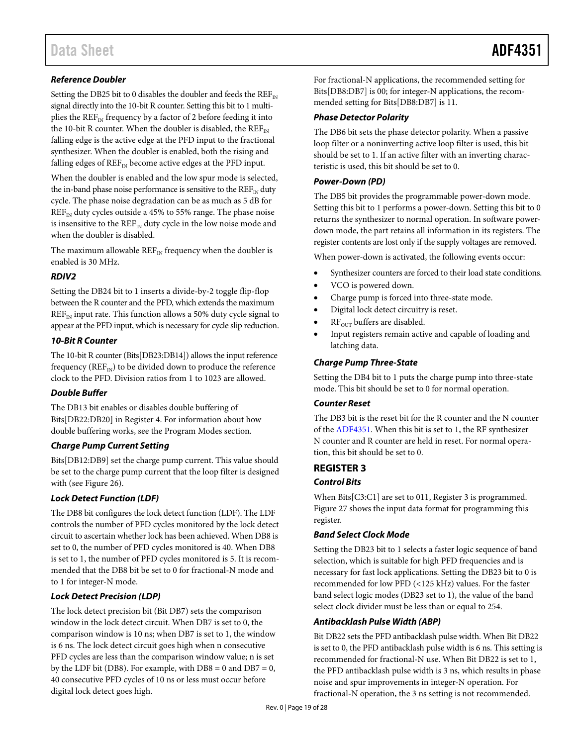#### *Reference Doubler*

Setting the DB25 bit to 0 disables the doubler and feeds the  $REF_{IN}$ signal directly into the 10-bit R counter. Setting this bit to 1 multiplies the  $REF_{IN}$  frequency by a factor of 2 before feeding it into the 10-bit R counter. When the doubler is disabled, the  $REF_{IN}$ falling edge is the active edge at the PFD input to the fractional synthesizer. When the doubler is enabled, both the rising and falling edges of  $REF_{IN}$  become active edges at the PFD input.

When the doubler is enabled and the low spur mode is selected, the in-band phase noise performance is sensitive to the  $REF_{N}$  duty cycle. The phase noise degradation can be as much as 5 dB for  $REF_{IN}$  duty cycles outside a 45% to 55% range. The phase noise is insensitive to the  $REF_{IN}$  duty cycle in the low noise mode and when the doubler is disabled.

The maximum allowable  $REF_{N}$  frequency when the doubler is enabled is 30 MHz.

#### *RDIV2*

Setting the DB24 bit to 1 inserts a divide-by-2 toggle flip-flop between the R counter and the PFD, which extends the maximum  $REF_{IN}$  input rate. This function allows a 50% duty cycle signal to appear at the PFD input, which is necessary for cycle slip reduction.

#### *10-Bit R Counter*

The 10-bit R counter (Bits[DB23:DB14]) allows the input reference frequency ( $REF_{IN}$ ) to be divided down to produce the reference clock to the PFD. Division ratios from 1 to 1023 are allowed.

#### *Double Buffer*

The DB13 bit enables or disables double buffering of Bits[DB22:DB20] in Register 4. For information about how double buffering works, see th[e Program Modes](#page-11-2) section.

#### *Charge Pump Current Setting*

Bits[DB12:DB9] set the charge pump current. This value should be set to the charge pump current that the loop filter is designed with (see [Figure 26\)](#page-15-0).

#### *Lock Detect Function (LDF)*

The DB8 bit configures the lock detect function (LDF). The LDF controls the number of PFD cycles monitored by the lock detect circuit to ascertain whether lock has been achieved. When DB8 is set to 0, the number of PFD cycles monitored is 40. When DB8 is set to 1, the number of PFD cycles monitored is 5. It is recommended that the DB8 bit be set to 0 for fractional-N mode and to 1 for integer-N mode.

#### *Lock Detect Precision (LDP)*

The lock detect precision bit (Bit DB7) sets the comparison window in the lock detect circuit. When DB7 is set to 0, the comparison window is 10 ns; when DB7 is set to 1, the window is 6 ns. The lock detect circuit goes high when n consecutive PFD cycles are less than the comparison window value; n is set by the LDF bit (DB8). For example, with  $DB8 = 0$  and  $DB7 = 0$ , 40 consecutive PFD cycles of 10 ns or less must occur before digital lock detect goes high.

For fractional-N applications, the recommended setting for Bits[DB8:DB7] is 00; for integer-N applications, the recommended setting for Bits[DB8:DB7] is 11.

#### *Phase Detector Polarity*

The DB6 bit sets the phase detector polarity. When a passive loop filter or a noninverting active loop filter is used, this bit should be set to 1. If an active filter with an inverting characteristic is used, this bit should be set to 0.

#### *Power-Down (PD)*

The DB5 bit provides the programmable power-down mode. Setting this bit to 1 performs a power-down. Setting this bit to 0 returns the synthesizer to normal operation. In software powerdown mode, the part retains all information in its registers. The register contents are lost only if the supply voltages are removed.

When power-down is activated, the following events occur:

- Synthesizer counters are forced to their load state conditions.
- VCO is powered down.
- Charge pump is forced into three-state mode.
- Digital lock detect circuitry is reset.
- $RF<sub>OUT</sub>$  buffers are disabled.
- Input registers remain active and capable of loading and latching data.

#### *Charge Pump Three-State*

Setting the DB4 bit to 1 puts the charge pump into three-state mode. This bit should be set to 0 for normal operation.

#### *Counter Reset*

The DB3 bit is the reset bit for the R counter and the N counter of the [ADF4351.](http://www.analog.com/ADF4351) When this bit is set to 1, the RF synthesizer N counter and R counter are held in reset. For normal operation, this bit should be set to 0.

#### <span id="page-18-0"></span>**REGISTER 3**

#### *Control Bits*

When Bits[C3:C1] are set to 011, Register 3 is programmed. [Figure 27](#page-15-1) shows the input data format for programming this register.

#### *Band Select Clock Mode*

Setting the DB23 bit to 1 selects a faster logic sequence of band selection, which is suitable for high PFD frequencies and is necessary for fast lock applications. Setting the DB23 bit to 0 is recommended for low PFD (<125 kHz) values. For the faster band select logic modes (DB23 set to 1), the value of the band select clock divider must be less than or equal to 254.

#### *Antibacklash Pulse Width (ABP)*

Bit DB22 sets the PFD antibacklash pulse width. When Bit DB22 is set to 0, the PFD antibacklash pulse width is 6 ns. This setting is recommended for fractional-N use. When Bit DB22 is set to 1, the PFD antibacklash pulse width is 3 ns, which results in phase noise and spur improvements in integer-N operation. For fractional-N operation, the 3 ns setting is not recommended.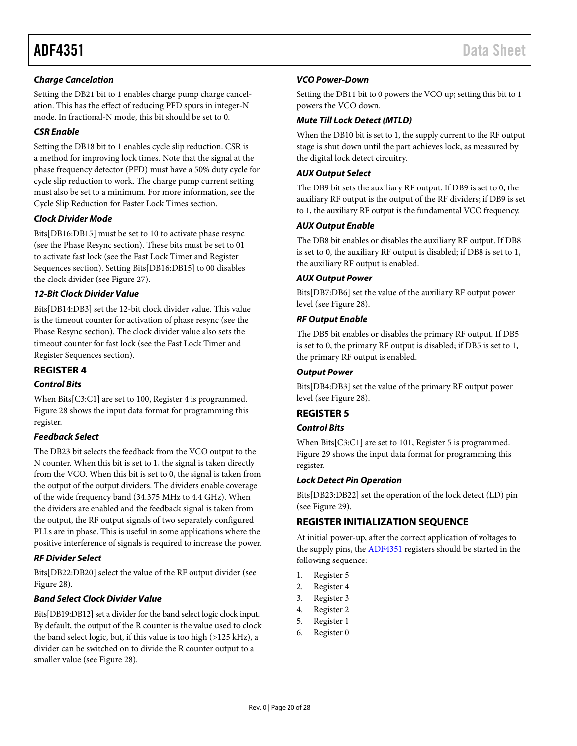#### *Charge Cancelation*

Setting the DB21 bit to 1 enables charge pump charge cancelation. This has the effect of reducing PFD spurs in integer-N mode. In fractional-N mode, this bit should be set to 0.

#### *CSR Enable*

Setting the DB18 bit to 1 enables cycle slip reduction. CSR is a method for improving lock times. Note that the signal at the phase frequency detector (PFD) must have a 50% duty cycle for cycle slip reduction to work. The charge pump current setting must also be set to a minimum. For more information, see the [Cycle Slip Reduction for Faster Lock Times](#page-21-0) section.

#### *Clock Divider Mode*

Bits[DB16:DB15] must be set to 10 to activate phase resync (see th[e Phase Resync](#page-23-1) section). These bits must be set to 01 to activate fast lock (see the [Fast Lock Timer and Register](#page-21-2)  [Sequences](#page-21-2) section). Setting Bits[DB16:DB15] to 00 disables the clock divider (se[e Figure 27\)](#page-15-1).

#### *12-Bit Clock Divider Value*

Bits[DB14:DB3] set the 12-bit clock divider value. This value is the timeout counter for activation of phase resync (see the [Phase Resync](#page-23-1) section). The clock divider value also sets the timeout counter for fast lock (see th[e Fast Lock Timer and](#page-21-2)  [Register Sequences](#page-21-2) section).

## <span id="page-19-0"></span>**REGISTER 4**

### *Control Bits*

When Bits[C3:C1] are set to 100, Register 4 is programmed. [Figure 28](#page-16-1) shows the input data format for programming this register.

#### *Feedback Select*

The DB23 bit selects the feedback from the VCO output to the N counter. When this bit is set to 1, the signal is taken directly from the VCO. When this bit is set to 0, the signal is taken from the output of the output dividers. The dividers enable coverage of the wide frequency band (34.375 MHz to 4.4 GHz). When the dividers are enabled and the feedback signal is taken from the output, the RF output signals of two separately configured PLLs are in phase. This is useful in some applications where the positive interference of signals is required to increase the power.

#### *RF Divider Select*

Bits[DB22:DB20] select the value of the RF output divider (see [Figure 28\)](#page-16-1).

#### *Band Select Clock Divider Value*

Bits[DB19:DB12] set a divider for the band select logic clock input. By default, the output of the R counter is the value used to clock the band select logic, but, if this value is too high  $(>125$  kHz), a divider can be switched on to divide the R counter output to a smaller value (se[e Figure 28\)](#page-16-1).

#### *VCO Power-Down*

Setting the DB11 bit to 0 powers the VCO up; setting this bit to 1 powers the VCO down.

#### *Mute Till Lock Detect (MTLD)*

When the DB10 bit is set to 1, the supply current to the RF output stage is shut down until the part achieves lock, as measured by the digital lock detect circuitry.

#### *AUX Output Select*

The DB9 bit sets the auxiliary RF output. If DB9 is set to 0, the auxiliary RF output is the output of the RF dividers; if DB9 is set to 1, the auxiliary RF output is the fundamental VCO frequency.

#### *AUX Output Enable*

The DB8 bit enables or disables the auxiliary RF output. If DB8 is set to 0, the auxiliary RF output is disabled; if DB8 is set to 1, the auxiliary RF output is enabled.

#### *AUX Output Power*

Bits[DB7:DB6] set the value of the auxiliary RF output power level (se[e Figure 28\)](#page-16-1).

#### *RF Output Enable*

The DB5 bit enables or disables the primary RF output. If DB5 is set to 0, the primary RF output is disabled; if DB5 is set to 1, the primary RF output is enabled.

#### *Output Power*

Bits[DB4:DB3] set the value of the primary RF output power level (se[e Figure 28\)](#page-16-1).

#### <span id="page-19-1"></span>**REGISTER 5**

#### *Control Bits*

When Bits[C3:C1] are set to 101, Register 5 is programmed. [Figure 29](#page-16-0) shows the input data format for programming this register.

#### *Lock Detect Pin Operation*

Bits[DB23:DB22] set the operation of the lock detect (LD) pin (see [Figure 29\)](#page-16-0).

#### <span id="page-19-2"></span>**REGISTER INITIALIZATION SEQUENCE**

At initial power-up, after the correct application of voltages to the supply pins, th[e ADF4351](http://www.analog.com/ADF4351) registers should be started in the following sequence:

- 1. Register 5
- 2. Register 4
- 3. Register 3
- 4. Register 2
- 5. Register 1
- 6. Register 0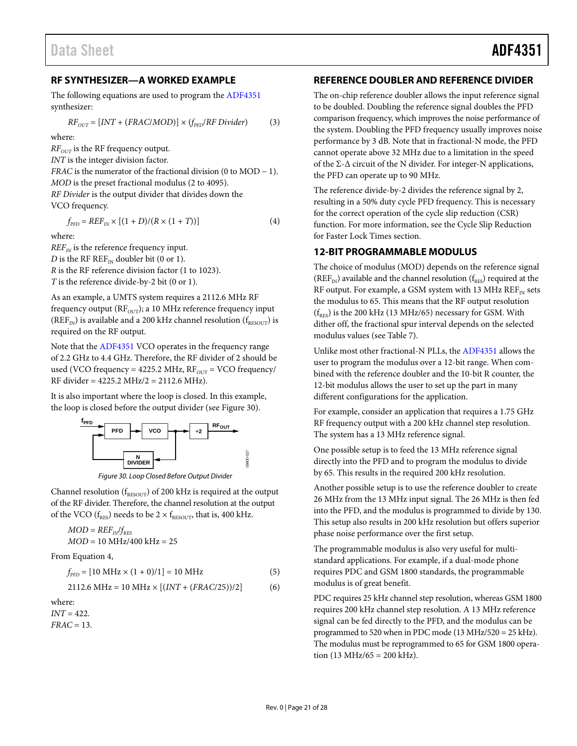#### <span id="page-20-0"></span>**RF SYNTHESIZER—A WORKED EXAMPLE**

The following equations are used to program th[e ADF4351](http://www.analog.com/ADF4351) synthesizer:

$$
RF_{OUT} = [INT + (FRAC/MOD)] \times (f_{PFD}/RF\,Divider)
$$
 (3)

where:

*RF*<sub>OUT</sub> is the RF frequency output.

*INT* is the integer division factor.

*FRAC* is the numerator of the fractional division (0 to MOD − 1). *MOD* is the preset fractional modulus (2 to 4095). *RF Divider* is the output divider that divides down the

VCO frequency.

 $f_{\text{PFD}} = REF_{IN} \times [(1 + D)/(R \times (1 + T))]$  (4)

where:

 $REF_{IN}$  is the reference frequency input. *D* is the RF  $REF_{IN}$  doubler bit (0 or 1). *R* is the RF reference division factor (1 to 1023).

*T* is the reference divide-by-2 bit (0 or 1).

As an example, a UMTS system requires a 2112.6 MHz RF frequency output ( $RF<sub>OUT</sub>$ ); a 10 MHz reference frequency input ( $REF_{IN}$ ) is available and a 200 kHz channel resolution ( $f_{RESOUT}$ ) is required on the RF output.

Note that the [ADF4351](http://www.analog.com/ADF4351) VCO operates in the frequency range of 2.2 GHz to 4.4 GHz. Therefore, the RF divider of 2 should be used (VCO frequency = 4225.2 MHz,  $RF_{\text{OUT}} = VCO$  frequency/ RF divider = 4225.2 MHz/2 = 2112.6 MHz).

It is also important where the loop is closed. In this example, the loop is closed before the output divider (se[e Figure 30\)](#page-20-3).



*Figure 30. Loop Closed Before Output Divider*

<span id="page-20-3"></span>Channel resolution ( $f_{\text{RESOUT}}$ ) of 200 kHz is required at the output of the RF divider. Therefore, the channel resolution at the output of the VCO ( $f_{RES}$ ) needs to be 2  $\times$   $f_{RESOUT}$ , that is, 400 kHz.

$$
MOD = REF_{IN}/f_{RES}
$$
  

$$
MOD = 10 MHz/400 kHz = 25
$$

From Equation 4,

$$
f_{\rm PFD} = [10 \text{ MHz} \times (1+0)/1] = 10 \text{ MHz}
$$
 (5)

$$
2112.6 \text{ MHz} = 10 \text{ MHz} \times [(INT + (FRAC/25))/2] \tag{6}
$$

where: *INT* = 422. *FRAC* = 13.

#### <span id="page-20-1"></span>**REFERENCE DOUBLER AND REFERENCE DIVIDER**

The on-chip reference doubler allows the input reference signal to be doubled. Doubling the reference signal doubles the PFD comparison frequency, which improves the noise performance of the system. Doubling the PFD frequency usually improves noise performance by 3 dB. Note that in fractional-N mode, the PFD cannot operate above 32 MHz due to a limitation in the speed of the  $\Sigma$ - $\Delta$  circuit of the N divider. For integer-N applications, the PFD can operate up to 90 MHz.

The reference divide-by-2 divides the reference signal by 2, resulting in a 50% duty cycle PFD frequency. This is necessary for the correct operation of the cycle slip reduction (CSR) function. For more information, see th[e Cycle Slip Reduction](#page-21-0)  [for Faster Lock Times](#page-21-0) section.

#### <span id="page-20-2"></span>**12-BIT PROGRAMMABLE MODULUS**

The choice of modulus (MOD) depends on the reference signal ( $REF_{IN}$ ) available and the channel resolution ( $f_{RES}$ ) required at the RF output. For example, a GSM system with 13 MHz  $REF_{IN}$  sets the modulus to 65. This means that the RF output resolution  $(f_{RES})$  is the 200 kHz (13 MHz/65) necessary for GSM. With dither off, the fractional spur interval depends on the selected modulus values (se[e Table 7\)](#page-22-2).

Unlike most other fractional-N PLLs, the [ADF4351](http://www.analog.com/ADF4351) allows the user to program the modulus over a 12-bit range. When combined with the reference doubler and the 10-bit R counter, the 12-bit modulus allows the user to set up the part in many different configurations for the application.

For example, consider an application that requires a 1.75 GHz RF frequency output with a 200 kHz channel step resolution. The system has a 13 MHz reference signal.

One possible setup is to feed the 13 MHz reference signal directly into the PFD and to program the modulus to divide by 65. This results in the required 200 kHz resolution.

Another possible setup is to use the reference doubler to create 26 MHz from the 13 MHz input signal. The 26 MHz is then fed into the PFD, and the modulus is programmed to divide by 130. This setup also results in 200 kHz resolution but offers superior phase noise performance over the first setup.

The programmable modulus is also very useful for multistandard applications. For example, if a dual-mode phone requires PDC and GSM 1800 standards, the programmable modulus is of great benefit.

PDC requires 25 kHz channel step resolution, whereas GSM 1800 requires 200 kHz channel step resolution. A 13 MHz reference signal can be fed directly to the PFD, and the modulus can be programmed to 520 when in PDC mode (13 MHz/520 = 25 kHz). The modulus must be reprogrammed to 65 for GSM 1800 operation (13 MHz/65 = 200 kHz).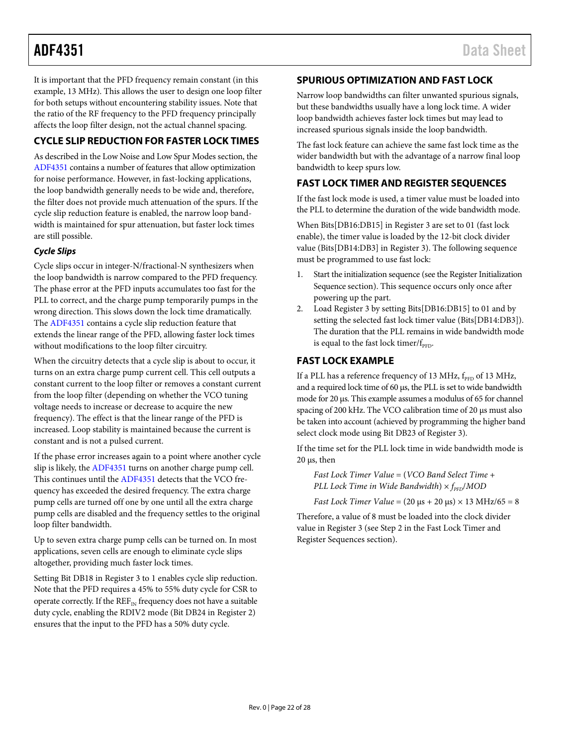It is important that the PFD frequency remain constant (in this example, 13 MHz). This allows the user to design one loop filter for both setups without encountering stability issues. Note that the ratio of the RF frequency to the PFD frequency principally affects the loop filter design, not the actual channel spacing.

### <span id="page-21-0"></span>**CYCLE SLIP REDUCTION FOR FASTER LOCK TIMES**

As described in the [Low Noise and Low Spur Modes](#page-17-3) section, the [ADF4351](http://www.analog.com/ADF4351) contains a number of features that allow optimization for noise performance. However, in fast-locking applications, the loop bandwidth generally needs to be wide and, therefore, the filter does not provide much attenuation of the spurs. If the cycle slip reduction feature is enabled, the narrow loop bandwidth is maintained for spur attenuation, but faster lock times are still possible.

#### *Cycle Slips*

Cycle slips occur in integer-N/fractional-N synthesizers when the loop bandwidth is narrow compared to the PFD frequency. The phase error at the PFD inputs accumulates too fast for the PLL to correct, and the charge pump temporarily pumps in the wrong direction. This slows down the lock time dramatically. The [ADF4351](http://www.analog.com/ADF4351) contains a cycle slip reduction feature that extends the linear range of the PFD, allowing faster lock times without modifications to the loop filter circuitry.

When the circuitry detects that a cycle slip is about to occur, it turns on an extra charge pump current cell. This cell outputs a constant current to the loop filter or removes a constant current from the loop filter (depending on whether the VCO tuning voltage needs to increase or decrease to acquire the new frequency). The effect is that the linear range of the PFD is increased. Loop stability is maintained because the current is constant and is not a pulsed current.

If the phase error increases again to a point where another cycle slip is likely, th[e ADF4351](http://www.analog.com/ADF4351) turns on another charge pump cell. This continues until th[e ADF4351](http://www.analog.com/ADF4351) detects that the VCO frequency has exceeded the desired frequency. The extra charge pump cells are turned off one by one until all the extra charge pump cells are disabled and the frequency settles to the original loop filter bandwidth.

Up to seven extra charge pump cells can be turned on. In most applications, seven cells are enough to eliminate cycle slips altogether, providing much faster lock times.

Setting Bit DB18 in Register 3 to 1 enables cycle slip reduction. Note that the PFD requires a 45% to 55% duty cycle for CSR to operate correctly. If the  $REF_{IN}$  frequency does not have a suitable duty cycle, enabling the RDIV2 mode (Bit DB24 in Register 2) ensures that the input to the PFD has a 50% duty cycle.

### <span id="page-21-1"></span>**SPURIOUS OPTIMIZATION AND FAST LOCK**

Narrow loop bandwidths can filter unwanted spurious signals, but these bandwidths usually have a long lock time. A wider loop bandwidth achieves faster lock times but may lead to increased spurious signals inside the loop bandwidth.

The fast lock feature can achieve the same fast lock time as the wider bandwidth but with the advantage of a narrow final loop bandwidth to keep spurs low.

### <span id="page-21-2"></span>**FAST LOCK TIMER AND REGISTER SEQUENCES**

If the fast lock mode is used, a timer value must be loaded into the PLL to determine the duration of the wide bandwidth mode.

When Bits[DB16:DB15] in Register 3 are set to 01 (fast lock enable), the timer value is loaded by the 12-bit clock divider value (Bits[DB14:DB3] in Register 3). The following sequence must be programmed to use fast lock:

- 1. Start the initialization sequence (see th[e Register Initialization](#page-19-2)  [Sequence](#page-19-2) section). This sequence occurs only once after powering up the part.
- 2. Load Register 3 by setting Bits[DB16:DB15] to 01 and by setting the selected fast lock timer value (Bits[DB14:DB3]). The duration that the PLL remains in wide bandwidth mode is equal to the fast lock timer/ $f_{\text{PPD}}$ .

#### <span id="page-21-3"></span>**FAST LOCK EXAMPLE**

If a PLL has a reference frequency of 13 MHz,  $\rm f_{\rm PFD}$  of 13 MHz, and a required lock time of 60 µs, the PLL is set to wide bandwidth mode for 20 µs. This example assumes a modulus of 65 for channel spacing of 200 kHz. The VCO calibration time of 20 µs must also be taken into account (achieved by programming the higher band select clock mode using Bit DB23 of Register 3).

If the time set for the PLL lock time in wide bandwidth mode is  $20 \mu s$ , then

*Fast Lock Timer Value* = (*VCO Band Select Time* + *PLL Lock Time in Wide Bandwidth*)  $\times f_{\text{PP}}/MOD$ 

*Fast Lock Timer Value* = (20 µs + 20 µs) × 13 MHz/65 = 8

Therefore, a value of 8 must be loaded into the clock divider value in Register 3 (see Step 2 in the [Fast Lock Timer and](#page-21-2)  [Register Sequences](#page-21-2) section).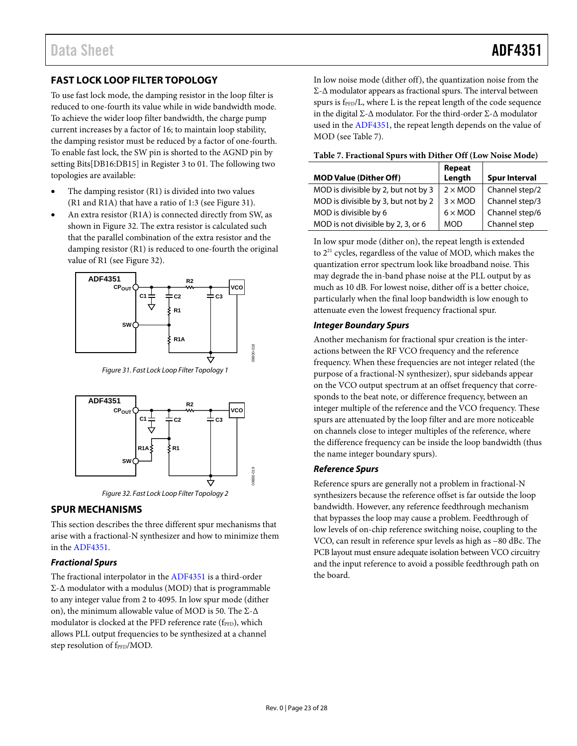### <span id="page-22-0"></span>**FAST LOCK LOOP FILTER TOPOLOGY**

To use fast lock mode, the damping resistor in the loop filter is reduced to one-fourth its value while in wide bandwidth mode. To achieve the wider loop filter bandwidth, the charge pump current increases by a factor of 16; to maintain loop stability, the damping resistor must be reduced by a factor of one-fourth. To enable fast lock, the SW pin is shorted to the AGND pin by setting Bits[DB16:DB15] in Register 3 to 01. The following two topologies are available:

- The damping resistor (R1) is divided into two values (R1 and R1A) that have a ratio of 1:3 (see [Figure 31\)](#page-22-3).
- An extra resistor (R1A) is connected directly from SW, as shown in [Figure 32.](#page-22-4) The extra resistor is calculated such that the parallel combination of the extra resistor and the damping resistor (R1) is reduced to one-fourth the original value of R1 (se[e Figure 32\)](#page-22-4).



Figure 31. Fast Lock Loop Filter Topology 1

<span id="page-22-3"></span>

Figure 32. Fast Lock Loop Filter Topology 2

#### <span id="page-22-4"></span><span id="page-22-1"></span>**SPUR MECHANISMS**

This section describes the three different spur mechanisms that arise with a fractional-N synthesizer and how to minimize them in the [ADF4351.](http://www.analog.com/ADF4351) 

#### **Fractional Spurs**

The fractional interpolator in th[e ADF4351 i](http://www.analog.com/ADF4351)s a third-order Σ-Δ modulator with a modulus (MOD) that is programmable to any integer value from 2 to 4095. In low spur mode (dither on), the minimum allowable value of MOD is 50. The Σ-Δ modulator is clocked at the PFD reference rate (fPFD), which allows PLL output frequencies to be synthesized at a channel step resolution of fPFD/MOD.

In low noise mode (dither off), the quantization noise from the Σ-Δ modulator appears as fractional spurs. The interval between spurs is f<sub>PFD</sub>/L, where L is the repeat length of the code sequence in the digital Σ-Δ modulator. For the third-order Σ-Δ modulator used in the [ADF4351,](http://www.analog.com/ADF4351) the repeat length depends on the value of MOD (see Table 7).

<span id="page-22-2"></span>**Table 7. Fractional Spurs with Dither Off (Low Noise Mode)** 

| <b>MOD Value (Dither Off)</b>       | Repeat<br>Length      | <b>Spur Interval</b> |
|-------------------------------------|-----------------------|----------------------|
| MOD is divisible by 2, but not by 3 | $2 \times MOD$        | Channel step/2       |
| MOD is divisible by 3, but not by 2 | $3 \times \text{MOD}$ | Channel step/3       |
| MOD is divisible by 6               | $6 \times MOD$        | Channel step/6       |
| MOD is not divisible by 2, 3, or 6  | <b>MOD</b>            | Channel step         |

In low spur mode (dither on), the repeat length is extended to 2<sup>21</sup> cycles, regardless of the value of MOD, which makes the quantization error spectrum look like broadband noise. This may degrade the in-band phase noise at the PLL output by as much as 10 dB. For lowest noise, dither off is a better choice, particularly when the final loop bandwidth is low enough to attenuate even the lowest frequency fractional spur.

#### **Integer Boundary Spurs**

Another mechanism for fractional spur creation is the interactions between the RF VCO frequency and the reference frequency. When these frequencies are not integer related (the purpose of a fractional-N synthesizer), spur sidebands appear on the VCO output spectrum at an offset frequency that corresponds to the beat note, or difference frequency, between an integer multiple of the reference and the VCO frequency. These spurs are attenuated by the loop filter and are more noticeable on channels close to integer multiples of the reference, where the difference frequency can be inside the loop bandwidth (thus the name integer boundary spurs).

#### **Reference Spurs**

Reference spurs are generally not a problem in fractional-N synthesizers because the reference offset is far outside the loop bandwidth. However, any reference feedthrough mechanism that bypasses the loop may cause a problem. Feedthrough of low levels of on-chip reference switching noise, coupling to the VCO, can result in reference spur levels as high as −80 dBc. The PCB layout must ensure adequate isolation between VCO circuitry and the input reference to avoid a possible feedthrough path on the board.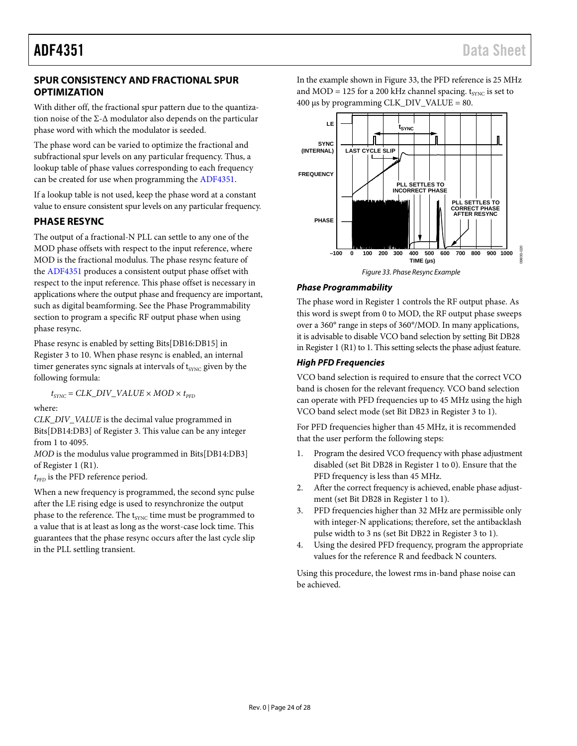#### <span id="page-23-2"></span><span id="page-23-0"></span>**SPUR CONSISTENCY AND FRACTIONAL SPUR OPTIMIZATION**

With dither off, the fractional spur pattern due to the quantization noise of the  $\Sigma$ - $\Delta$  modulator also depends on the particular phase word with which the modulator is seeded.

The phase word can be varied to optimize the fractional and subfractional spur levels on any particular frequency. Thus, a lookup table of phase values corresponding to each frequency can be created for use when programming th[e ADF4351.](http://www.analog.com/ADF4351)

If a lookup table is not used, keep the phase word at a constant value to ensure consistent spur levels on any particular frequency.

#### <span id="page-23-1"></span>**PHASE RESYNC**

The output of a fractional-N PLL can settle to any one of the MOD phase offsets with respect to the input reference, where MOD is the fractional modulus. The phase resync feature of the [ADF4351](http://www.analog.com/ADF4351) produces a consistent output phase offset with respect to the input reference. This phase offset is necessary in applications where the output phase and frequency are important, such as digital beamforming. See the Phase [Programmability](#page-23-3) section to program a specific RF output phase when using phase resync.

Phase resync is enabled by setting Bits[DB16:DB15] in Register 3 to 10. When phase resync is enabled, an internal timer generates sync signals at intervals of t<sub>SYNC</sub> given by the following formula:

 $t_{SYNC}$  =  $CLK\_DIV\_VALUE \times MOD \times t_{PFD}$ 

where:

*CLK\_DIV\_VALUE* is the decimal value programmed in Bits[DB14:DB3] of Register 3. This value can be any integer from 1 to 4095.

*MOD* is the modulus value programmed in Bits[DB14:DB3] of Register 1 (R1).

 $t_{\tt PFD}$  is the PFD reference period.

When a new frequency is programmed, the second sync pulse after the LE rising edge is used to resynchronize the output phase to the reference. The t<sub>SYNC</sub> time must be programmed to a value that is at least as long as the worst-case lock time. This guarantees that the phase resync occurs after the last cycle slip in the PLL settling transient.

In the example shown in [Figure 33,](#page-23-4) the PFD reference is 25 MHz and MOD = 125 for a 200 kHz channel spacing.  $t_{\text{sync}}$  is set to  $400 \mu s$  by programming CLK\_DIV\_VALUE = 80.



#### <span id="page-23-4"></span><span id="page-23-3"></span>*Phase Programmability*

The phase word in Register 1 controls the RF output phase. As this word is swept from 0 to MOD, the RF output phase sweeps over a 360° range in steps of 360°/MOD. In many applications, it is advisable to disable VCO band selection by setting Bit DB28 in Register 1 (R1) to 1. This setting selects the phase adjust feature.

#### *High PFD Frequencies*

VCO band selection is required to ensure that the correct VCO band is chosen for the relevant frequency. VCO band selection can operate with PFD frequencies up to 45 MHz using the high VCO band select mode (set Bit DB23 in Register 3 to 1).

For PFD frequencies higher than 45 MHz, it is recommended that the user perform the following steps:

- 1. Program the desired VCO frequency with phase adjustment disabled (set Bit DB28 in Register 1 to 0). Ensure that the PFD frequency is less than 45 MHz.
- 2. After the correct frequency is achieved, enable phase adjustment (set Bit DB28 in Register 1 to 1).
- 3. PFD frequencies higher than 32 MHz are permissible only with integer-N applications; therefore, set the antibacklash pulse width to 3 ns (set Bit DB22 in Register 3 to 1).
- 4. Using the desired PFD frequency, program the appropriate values for the reference R and feedback N counters.

Using this procedure, the lowest rms in-band phase noise can be achieved.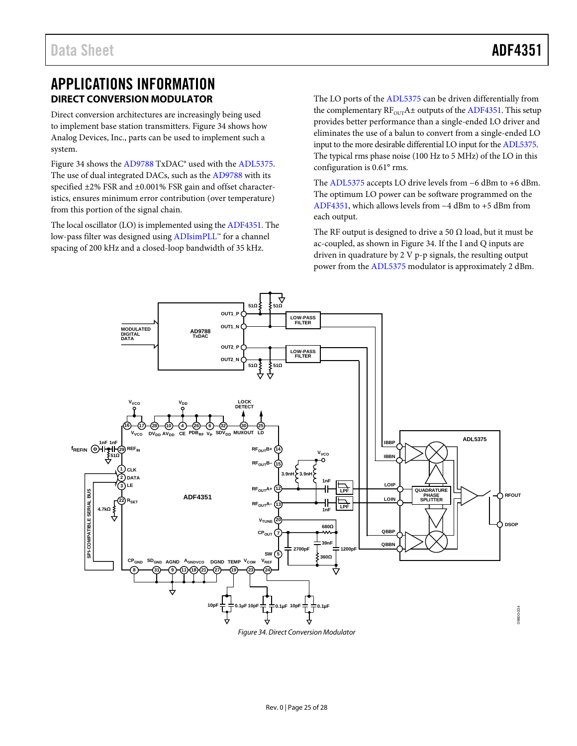## <span id="page-24-0"></span>APPLICATIONS INFORMATION **DIRECT CONVERSION MODULATOR**

<span id="page-24-1"></span>Direct conversion architectures are increasingly being used to implement base station transmitters[. Figure 34](#page-24-2) shows how Analog Devices, Inc., parts can be used to implement such a system.

[Figure 34](#page-24-2) shows th[e AD9788](http://www.analog.com/AD9788) TxDAC<sup>®</sup> used with the [ADL5375.](http://www.analog.com/ADL5375) The use of dual integrated DACs, such as th[e AD9788](http://www.analog.com/AD9788) with its specified ±2% FSR and ±0.001% FSR gain and offset characteristics, ensures minimum error contribution (over temperature) from this portion of the signal chain.

The local oscillator (LO) is implemented using th[e ADF4351.](http://www.analog.com/ADF4351) The low-pass filter was designed usin[g ADIsimPLL™](http://www.analog.com/ADIsimPLL) for a channel spacing of 200 kHz and a closed-loop bandwidth of 35 kHz.

The LO ports of the [ADL5375](http://www.analog.com/ADL5375) can be driven differentially from the complementary  $RF_{OUT}A\pm$  outputs of th[e ADF4351.](http://www.analog.com/ADF4351) This setup provides better performance than a single-ended LO driver and eliminates the use of a balun to convert from a single-ended LO input to the more desirable differential LO input for the [ADL5375.](http://www.analog.com/ADL5375) The typical rms phase noise (100 Hz to 5 MHz) of the LO in this configuration is 0.61° rms.

The [ADL5375](http://www.analog.com/ADL5375) accepts LO drive levels from −6 dBm to +6 dBm. The optimum LO power can be software programmed on the [ADF4351,](http://www.analog.com/ADF4351) which allows levels from −4 dBm to +5 dBm from each output.

The RF output is designed to drive a 50  $\Omega$  load, but it must be ac-coupled, as shown i[n Figure 34.](#page-24-2) If the I and Q inputs are driven in quadrature by 2 V p-p signals, the resulting output power from the [ADL5375](http://www.analog.com/ADL5375) modulator is approximately 2 dBm.



<span id="page-24-2"></span>*Figure 34. Direct Conversion Modulator*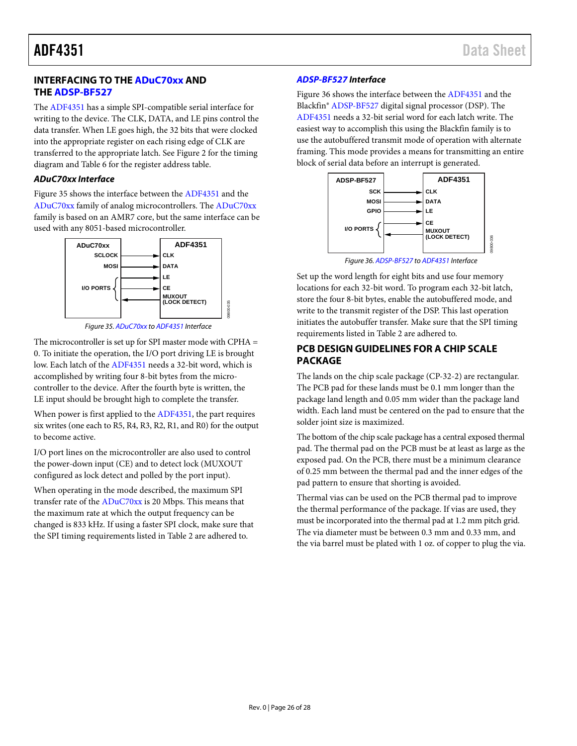#### <span id="page-25-0"></span>**INTERFACING TO THE [ADuC70xx](http://www.analog.com/ADuC70) AND TH[E ADSP-BF527](http://www.analog.com/ADSP-BF527)**

The [ADF4351](http://www.analog.com/ADF4351) has a simple SPI-compatible serial interface for writing to the device. The CLK, DATA, and LE pins control the data transfer. When LE goes high, the 32 bits that were clocked into the appropriate register on each rising edge of CLK are transferred to the appropriate latch. Se[e Figure 2](#page-4-1) for the timing diagram and [Table 6](#page-11-5) for the register address table.

#### *ADuC70xx Interface*

[Figure 35](#page-25-2) shows the interface between th[e ADF4351](http://www.analog.com/ADF4351) and the [ADuC70xx](http://www.analog.com/ADuC70) family of analog microcontrollers. The [ADuC70xx](http://www.analog.com/ADuC70) family is based on an AMR7 core, but the same interface can be used with any 8051-based microcontroller.



*Figure 35[. ADuC70xx](http://www.analog.com/ADuC70) t[o ADF4351](http://www.analog.com/ADF4351) Interface*

09800-035

<span id="page-25-2"></span>The microcontroller is set up for SPI master mode with CPHA = 0. To initiate the operation, the I/O port driving LE is brought low. Each latch of th[e ADF4351](http://www.analog.com/ADF4351) needs a 32-bit word, which is accomplished by writing four 8-bit bytes from the microcontroller to the device. After the fourth byte is written, the LE input should be brought high to complete the transfer.

When power is first applied to the [ADF4351,](http://www.analog.com/ADF4351) the part requires six writes (one each to R5, R4, R3, R2, R1, and R0) for the output to become active.

I/O port lines on the microcontroller are also used to control the power-down input (CE) and to detect lock (MUXOUT configured as lock detect and polled by the port input).

When operating in the mode described, the maximum SPI transfer rate of the [ADuC70xx](http://www.analog.com/ADuC70) is 20 Mbps. This means that the maximum rate at which the output frequency can be changed is 833 kHz. If using a faster SPI clock, make sure that the SPI timing requirements listed i[n Table 2](#page-4-2) are adhered to.

#### *[ADSP-BF527](http://www.analog.com/ADSP-BF527) Interface*

[Figure 36](#page-25-3) shows the interface between th[e ADF4351](http://www.analog.com/ADF4351) and the Blackfin[® ADSP-BF527](http://www.analog.com/ADSP-BF527) digital signal processor (DSP). The [ADF4351](http://www.analog.com/ADF4351) needs a 32-bit serial word for each latch write. The easiest way to accomplish this using the Blackfin family is to use the autobuffered transmit mode of operation with alternate framing. This mode provides a means for transmitting an entire block of serial data before an interrupt is generated.



<span id="page-25-3"></span>Set up the word length for eight bits and use four memory locations for each 32-bit word. To program each 32-bit latch,

store the four 8-bit bytes, enable the autobuffered mode, and write to the transmit register of the DSP. This last operation initiates the autobuffer transfer. Make sure that the SPI timing requirements listed in [Table 2](#page-4-2) are adhered to.

#### <span id="page-25-1"></span>**PCB DESIGN GUIDELINES FOR A CHIP SCALE PACKAGE**

The lands on the chip scale package (CP-32-2) are rectangular. The PCB pad for these lands must be 0.1 mm longer than the package land length and 0.05 mm wider than the package land width. Each land must be centered on the pad to ensure that the solder joint size is maximized.

The bottom of the chip scale package has a central exposed thermal pad. The thermal pad on the PCB must be at least as large as the exposed pad. On the PCB, there must be a minimum clearance of 0.25 mm between the thermal pad and the inner edges of the pad pattern to ensure that shorting is avoided.

Thermal vias can be used on the PCB thermal pad to improve the thermal performance of the package. If vias are used, they must be incorporated into the thermal pad at 1.2 mm pitch grid. The via diameter must be between 0.3 mm and 0.33 mm, and the via barrel must be plated with 1 oz. of copper to plug the via.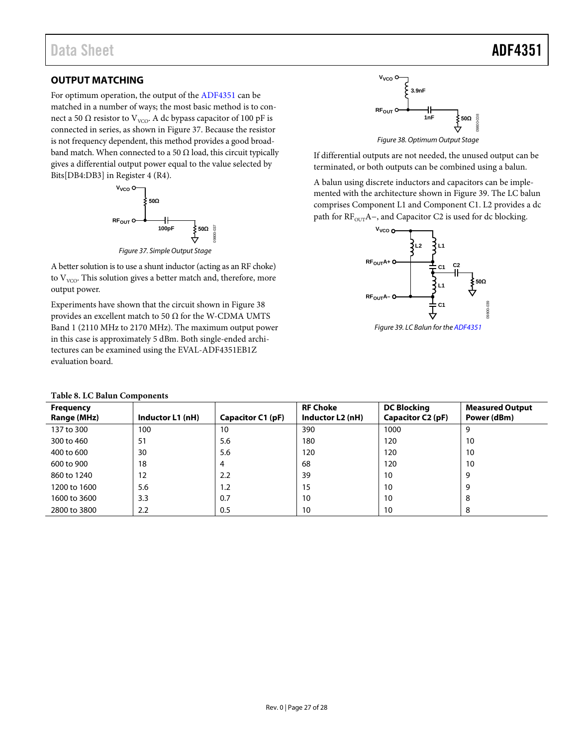#### <span id="page-26-0"></span>**OUTPUT MATCHING**

For optimum operation, the output of th[e ADF4351](http://www.analog.com/ADF4351) can be matched in a number of ways; the most basic method is to connect a 50 Ω resistor to V<sub>VCO</sub>. A dc bypass capacitor of 100 pF is connected in series, as shown i[n Figure 37.](#page-26-1) Because the resistor is not frequency dependent, this method provides a good broadband match. When connected to a 50  $\Omega$  load, this circuit typically gives a differential output power equal to the value selected by Bits[DB4:DB3] in Register 4 (R4).



*Figure 37. Simple Output Stage*

<span id="page-26-1"></span>A better solution is to use a shunt inductor (acting as an RF choke) to  $V_{VCO}$ . This solution gives a better match and, therefore, more output power.

Experiments have shown that the circuit shown in [Figure 38](#page-26-2) provides an excellent match to 50  $\Omega$  for the W-CDMA UMTS Band 1 (2110 MHz to 2170 MHz). The maximum output power in this case is approximately 5 dBm. Both single-ended architectures can be examined using the EVAL-ADF4351EB1Z evaluation board.

|  |  |  | <b>Table 8. LC Balun Components</b> |
|--|--|--|-------------------------------------|
|--|--|--|-------------------------------------|



<span id="page-26-2"></span>If differential outputs are not needed, the unused output can be terminated, or both outputs can be combined using a balun.

A balun using discrete inductors and capacitors can be implemented with the architecture shown i[n Figure 39.](#page-26-3) The LC balun comprises Component L1 and Component C1. L2 provides a dc path for RF<sub>OUT</sub>A−, and Capacitor C2 is used for dc blocking.

<span id="page-26-3"></span>

| <b>Frequency</b><br>Range (MHz) | Inductor L1 (nH) | Capacitor C1 (pF) | <b>RF Choke</b><br>Inductor L2 (nH) | <b>DC Blocking</b><br>Capacitor C2 (pF) | <b>Measured Output</b><br>Power (dBm) |
|---------------------------------|------------------|-------------------|-------------------------------------|-----------------------------------------|---------------------------------------|
| 137 to 300                      | 100              | 10                | 390                                 | 1000                                    | q                                     |
| 300 to 460                      | 51               | 5.6               | 180                                 | 120                                     | 10                                    |
| 400 to 600                      | 30               | 5.6               | 120                                 | 120                                     | 10                                    |
| 600 to 900                      | 18               | 4                 | 68                                  | 120                                     | 10                                    |
| 860 to 1240                     | 12               | 2.2               | 39                                  | 10                                      | 9                                     |
| 1200 to 1600                    | 5.6              | 1.2               | 15                                  | 10                                      | 9                                     |
| 1600 to 3600                    | 3.3              | 0.7               | 10                                  | 10                                      | 8                                     |
| 2800 to 3800                    | 2.2              | 0.5               | 10                                  | 10                                      | 8                                     |